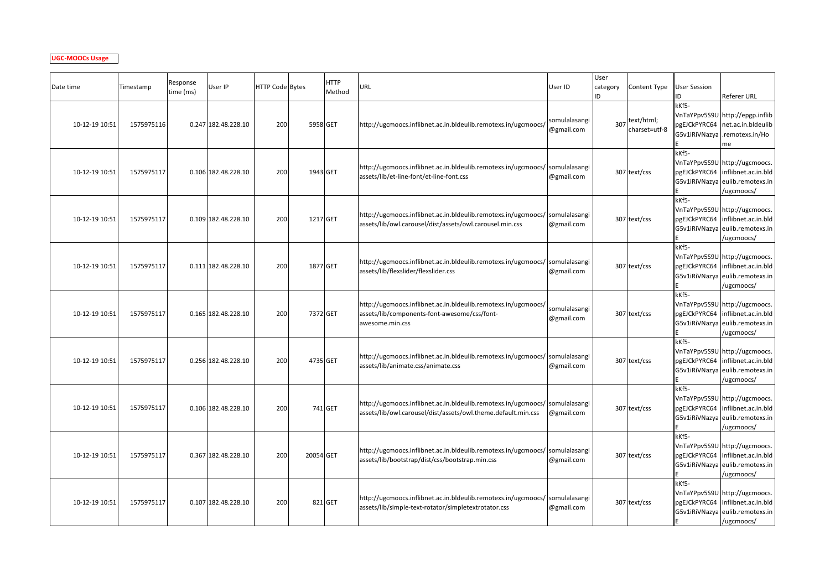## **UGC-MOOCs Usage**

| Date time      | Timestamp  | Response<br>time (ms) | User IP             | HTTP Code Bytes |           | <b>HTTP</b><br>Method | URL                                                                                                                                           | User ID                     | User<br>category<br>ID | Content Type                | <b>User Session</b><br>D | Referer URL                                                                                                          |
|----------------|------------|-----------------------|---------------------|-----------------|-----------|-----------------------|-----------------------------------------------------------------------------------------------------------------------------------------------|-----------------------------|------------------------|-----------------------------|--------------------------|----------------------------------------------------------------------------------------------------------------------|
| 10-12-19 10:51 | 1575975116 |                       | 0.247 182.48.228.10 | 200             | 5958 GET  |                       | http://ugcmoocs.inflibnet.ac.in.bldeulib.remotexs.in/ugcmoocs/                                                                                | somulalasangi<br>@gmail.com | 307                    | text/html;<br>charset=utf-8 | kKf5-<br>G5v1iRiVNazya   | VnTaYPpv5S9U http://epgp.inflib<br>pgEJCkPYRC64 net.ac.in.bldeulib<br>.remotexs.in/Ho<br>me                          |
| 10-12-19 10:51 | 1575975117 |                       | 0.106 182.48.228.10 | 200             | 1943 GET  |                       | http://ugcmoocs.inflibnet.ac.in.bldeulib.remotexs.in/ugcmoocs/ somulalasangi<br>assets/lib/et-line-font/et-line-font.css                      | @gmail.com                  |                        | 307 text/css                | kKf5-                    | VnTaYPpv5S9U http://ugcmoocs.<br>pgEJCkPYRC64 inflibnet.ac.in.bld<br>G5v1iRiVNazya eulib.remotexs.in<br>/ugcmoocs/   |
| 10-12-19 10:51 | 1575975117 |                       | 0.109 182.48.228.10 | 200             | 1217 GET  |                       | http://ugcmoocs.inflibnet.ac.in.bldeulib.remotexs.in/ugcmoocs/ somulalasangi<br>assets/lib/owl.carousel/dist/assets/owl.carousel.min.css      | @gmail.com                  |                        | 307 text/css                | kKf5-                    | VnTaYPpv5S9U http://ugcmoocs.<br>pgEJCkPYRC64   inflibnet.ac.in.bld<br>G5v1iRiVNazya eulib.remotexs.in<br>/ugcmoocs/ |
| 10-12-19 10:51 | 1575975117 |                       | 0.111 182.48.228.10 | 200             | 1877 GET  |                       | http://ugcmoocs.inflibnet.ac.in.bldeulib.remotexs.in/ugcmoocs/ somulalasangi<br>assets/lib/flexslider/flexslider.css                          | @gmail.com                  |                        | 307 text/css                | kKf5-                    | VnTaYPpv5S9U http://ugcmoocs.<br>pgEJCkPYRC64 inflibnet.ac.in.bld<br>G5v1iRiVNazya eulib.remotexs.in<br>/ugcmoocs/   |
| 10-12-19 10:51 | 1575975117 |                       | 0.165 182.48.228.10 | 200             | 7372 GET  |                       | http://ugcmoocs.inflibnet.ac.in.bldeulib.remotexs.in/ugcmoocs/<br>assets/lib/components-font-awesome/css/font-<br>awesome.min.css             | somulalasangi<br>@gmail.com |                        | 307 text/css                | kKf5-                    | VnTaYPpv5S9U http://ugcmoocs.<br>pgEJCkPYRC64 inflibnet.ac.in.bld<br>G5v1iRiVNazya eulib.remotexs.in<br>/ugcmoocs/   |
| 10-12-19 10:51 | 1575975117 |                       | 0.256 182.48.228.10 | 200             | 4735 GET  |                       | http://ugcmoocs.inflibnet.ac.in.bldeulib.remotexs.in/ugcmoocs/ somulalasangi<br>assets/lib/animate.css/animate.css                            | @gmail.com                  |                        | 307 text/css                | kKf5-                    | VnTaYPpv5S9U http://ugcmoocs.<br>pgEJCkPYRC64 inflibnet.ac.in.bld<br>G5v1iRiVNazya eulib.remotexs.in<br>/ugcmoocs/   |
| 10-12-19 10:51 | 1575975117 |                       | 0.106 182.48.228.10 | 200             |           | 741 GET               | http://ugcmoocs.inflibnet.ac.in.bldeulib.remotexs.in/ugcmoocs/ somulalasangi<br>assets/lib/owl.carousel/dist/assets/owl.theme.default.min.css | @gmail.com                  |                        | 307 text/css                | kKf5-                    | VnTaYPpv5S9U http://ugcmoocs.<br>pgEJCkPYRC64 inflibnet.ac.in.bld<br>G5v1iRiVNazya eulib.remotexs.in<br>/ugcmoocs/   |
| 10-12-19 10:51 | 1575975117 |                       | 0.367 182.48.228.10 | 200             | 20054 GET |                       | http://ugcmoocs.inflibnet.ac.in.bldeulib.remotexs.in/ugcmoocs/ somulalasangi<br>assets/lib/bootstrap/dist/css/bootstrap.min.css               | @gmail.com                  |                        | 307 text/css                | kKf5-                    | VnTaYPpv5S9U http://ugcmoocs.<br>pgEJCkPYRC64 inflibnet.ac.in.bld<br>G5v1iRiVNazya eulib.remotexs.in<br>/ugcmoocs/   |
| 10-12-19 10:51 | 1575975117 |                       | 0.107 182.48.228.10 | 200             |           | 821 GET               | http://ugcmoocs.inflibnet.ac.in.bldeulib.remotexs.in/ugcmoocs/ somulalasangi<br>assets/lib/simple-text-rotator/simpletextrotator.css          | @gmail.com                  |                        | 307 text/css                | kKf5-<br>pgEJCkPYRC64    | VnTaYPpv5S9U http://ugcmoocs.<br>inflibnet.ac.in.bld<br>G5v1iRiVNazya eulib.remotexs.in<br>/ugcmoocs/                |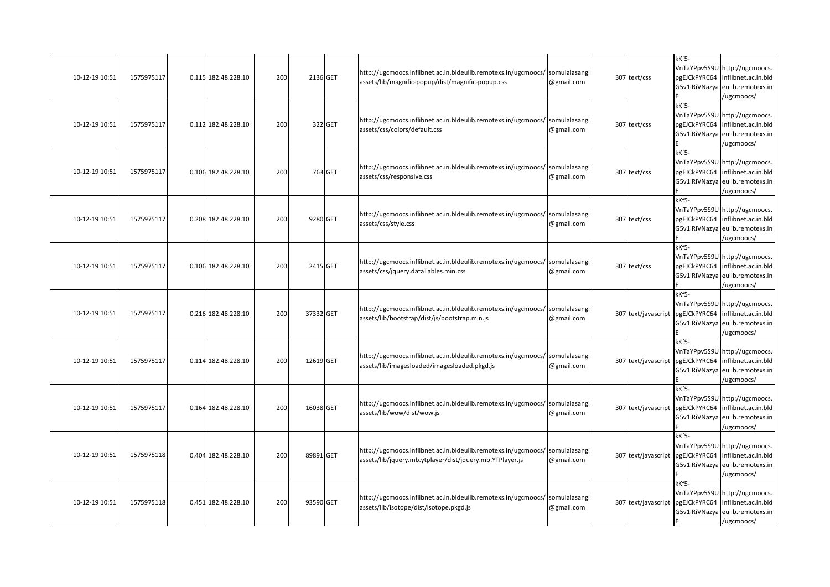| 10-12-19 10:51 | 1575975117 | 0.115 182.48.228.10 | 200 | 2136 GET  |         | http://ugcmoocs.inflibnet.ac.in.bldeulib.remotexs.in/ugcmoocs/ somulalasangi<br>assets/lib/magnific-popup/dist/magnific-popup.css        | @gmail.com | 307 text/css        | kKf5-<br>pgEJCkPYRC64<br>G5v1iRiVNazya | VnTaYPpv5S9U http://ugcmoocs.<br>inflibnet.ac.in.bld<br>eulib.remotexs.in<br>/ugcmoocs/                            |
|----------------|------------|---------------------|-----|-----------|---------|------------------------------------------------------------------------------------------------------------------------------------------|------------|---------------------|----------------------------------------|--------------------------------------------------------------------------------------------------------------------|
| 10-12-19 10:51 | 1575975117 | 0.112 182.48.228.10 | 200 |           | 322 GET | http://ugcmoocs.inflibnet.ac.in.bldeulib.remotexs.in/ugcmoocs/ somulalasangi<br>assets/css/colors/default.css                            | @gmail.com | 307 text/css        | kKf5-<br>pgEJCkPYRC64<br>G5v1iRiVNazya | VnTaYPpv5S9U http://ugcmoocs.<br>inflibnet.ac.in.bld<br>eulib.remotexs.in<br>/ugcmoocs/                            |
| 10-12-19 10:51 | 1575975117 | 0.106 182.48.228.10 | 200 |           | 763 GET | http://ugcmoocs.inflibnet.ac.in.bldeulib.remotexs.in/ugcmoocs/ somulalasangi<br>assets/css/responsive.css                                | @gmail.com | 307 text/css        | kKf5-<br>pgEJCkPYRC64<br>G5v1iRiVNazya | VnTaYPpv5S9U http://ugcmoocs.<br>inflibnet.ac.in.bld<br>eulib.remotexs.in<br>/ugcmoocs/                            |
| 10-12-19 10:51 | 1575975117 | 0.208 182.48.228.10 | 200 | 9280 GET  |         | http://ugcmoocs.inflibnet.ac.in.bldeulib.remotexs.in/ugcmoocs/ somulalasangi<br>assets/css/style.css                                     | @gmail.com | 307 text/css        | kKf5-                                  | VnTaYPpv5S9U http://ugcmoocs.<br>pgEJCkPYRC64 inflibnet.ac.in.bld<br>G5v1iRiVNazya eulib.remotexs.in<br>/ugcmoocs/ |
| 10-12-19 10:51 | 1575975117 | 0.106 182.48.228.10 | 200 | 2415 GET  |         | http://ugcmoocs.inflibnet.ac.in.bldeulib.remotexs.in/ugcmoocs/ somulalasangi<br>assets/css/jquery.dataTables.min.css                     | @gmail.com | 307 text/css        | kKf5-<br>pgEJCkPYRC64<br>G5v1iRiVNazya | VnTaYPpv5S9U http://ugcmoocs.<br>inflibnet.ac.in.bld<br>eulib.remotexs.in<br>/ugcmoocs/                            |
| 10-12-19 10:51 | 1575975117 | 0.216 182.48.228.10 | 200 | 37332 GET |         | http://ugcmoocs.inflibnet.ac.in.bldeulib.remotexs.in/ugcmoocs/ somulalasangi<br>assets/lib/bootstrap/dist/js/bootstrap.min.js            | @gmail.com | 307 text/javascript | kKf5-                                  | VnTaYPpv5S9U http://ugcmoocs.<br>pgEJCkPYRC64 inflibnet.ac.in.bld<br>G5v1iRiVNazya eulib.remotexs.in<br>ugcmoocs/  |
| 10-12-19 10:51 | 1575975117 | 0.114 182.48.228.10 | 200 | 12619 GET |         | http://ugcmoocs.inflibnet.ac.in.bldeulib.remotexs.in/ugcmoocs/ somulalasangi<br>assets/lib/imagesloaded/imagesloaded.pkgd.js             | @gmail.com | 307 text/javascript | kKf5-<br>pgEJCkPYRC64                  | VnTaYPpv5S9U http://ugcmoocs.<br>inflibnet.ac.in.bld<br>G5v1iRiVNazya eulib.remotexs.in<br>/ugcmoocs/              |
| 10-12-19 10:51 | 1575975117 | 0.164 182.48.228.10 | 200 | 16038 GET |         | http://ugcmoocs.inflibnet.ac.in.bldeulib.remotexs.in/ugcmoocs/ somulalasangi<br>assets/lib/wow/dist/wow.js                               | @gmail.com | 307 text/javascript | kKf5-<br>pgEJCkPYRC64<br>G5v1iRiVNazya | VnTaYPpv5S9U http://ugcmoocs.<br>inflibnet.ac.in.bld<br>eulib.remotexs.in<br>/ugcmoocs/                            |
| 10-12-19 10:51 | 1575975118 | 0.404 182.48.228.10 | 200 | 89891 GET |         | http://ugcmoocs.inflibnet.ac.in.bldeulib.remotexs.in/ugcmoocs/ somulalasangi<br>assets/lib/jquery.mb.ytplayer/dist/jquery.mb.YTPlayer.js | @gmail.com | 307 text/javascript | kKf5-<br>pgEJCkPYRC64                  | VnTaYPpv5S9U http://ugcmoocs.<br>inflibnet.ac.in.bld<br>eulib.remotexs.in                                          |
|                |            |                     |     |           |         |                                                                                                                                          |            |                     | G5v1iRiVNazya                          | /ugcmoocs/                                                                                                         |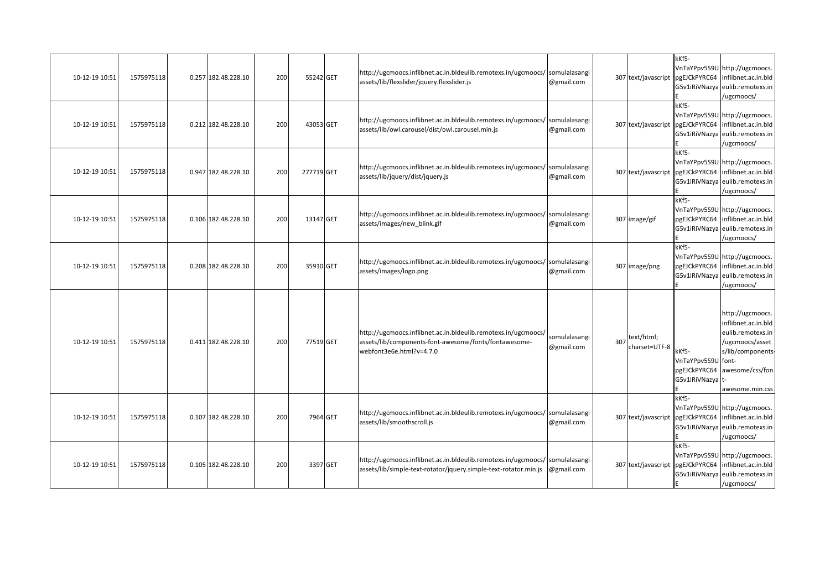| 10-12-19 10:51 | 1575975118 | 0.257 182.48.228.10 | 200 | 55242 GET  |          | http://ugcmoocs.inflibnet.ac.in.bldeulib.remotexs.in/ugcmoocs/ somulalasangi<br>assets/lib/flexslider/jquery.flexslider.js                          | @gmail.com                  |     | 307 text/javascript         | kKf5-                                                           | VnTaYPpv5S9U http://ugcmoocs.<br>pgEJCkPYRC64 inflibnet.ac.in.bld<br>G5v1iRiVNazya eulib.remotexs.in<br>/ugcmoocs/                         |
|----------------|------------|---------------------|-----|------------|----------|-----------------------------------------------------------------------------------------------------------------------------------------------------|-----------------------------|-----|-----------------------------|-----------------------------------------------------------------|--------------------------------------------------------------------------------------------------------------------------------------------|
| 10-12-19 10:51 | 1575975118 | 0.212 182.48.228.10 | 200 | 43053 GET  |          | http://ugcmoocs.inflibnet.ac.in.bldeulib.remotexs.in/ugcmoocs/ somulalasangi<br>assets/lib/owl.carousel/dist/owl.carousel.min.js                    | @gmail.com                  |     | 307 text/javascript         | kKf5-                                                           | VnTaYPpv5S9U http://ugcmoocs.<br>pgEJCkPYRC64 inflibnet.ac.in.bld<br>G5v1iRiVNazya eulib.remotexs.in<br>/ugcmoocs/                         |
| 10-12-19 10:51 | 1575975118 | 0.947 182.48.228.10 | 200 | 277719 GET |          | http://ugcmoocs.inflibnet.ac.in.bldeulib.remotexs.in/ugcmoocs/ somulalasangi<br>assets/lib/jquery/dist/jquery.js                                    | @gmail.com                  |     |                             | kKf5-                                                           | VnTaYPpv5S9U http://ugcmoocs.<br>307 text/javascript pgEJCkPYRC64 inflibnet.ac.in.bld<br>G5v1iRiVNazya eulib.remotexs.in<br>/ugcmoocs/     |
| 10-12-19 10:51 | 1575975118 | 0.106 182.48.228.10 | 200 | 13147 GET  |          | http://ugcmoocs.inflibnet.ac.in.bldeulib.remotexs.in/ugcmoocs/ somulalasangi<br>assets/images/new blink.gif                                         | @gmail.com                  |     | 307 image/gif               | kKf5-                                                           | VnTaYPpv5S9U http://ugcmoocs.<br>pgEJCkPYRC64 inflibnet.ac.in.bld<br>G5v1iRiVNazya eulib.remotexs.in<br>/ugcmoocs/                         |
| 10-12-19 10:51 | 1575975118 | 0.208 182.48.228.10 | 200 | 35910 GET  |          | http://ugcmoocs.inflibnet.ac.in.bldeulib.remotexs.in/ugcmoocs/ somulalasangi<br>assets/images/logo.png                                              | @gmail.com                  |     | 307 image/png               | kKf5-                                                           | VnTaYPpv5S9U http://ugcmoocs.<br>pgEJCkPYRC64 inflibnet.ac.in.bld<br>G5v1iRiVNazya eulib.remotexs.in<br>/ugcmoocs/                         |
| 10-12-19 10:51 | 1575975118 | 0.411 182.48.228.10 | 200 | 77519 GET  |          | http://ugcmoocs.inflibnet.ac.in.bldeulib.remotexs.in/ugcmoocs/<br>assets/lib/components-font-awesome/fonts/fontawesome-<br>webfont3e6e.html?v=4.7.0 | somulalasangi<br>@gmail.com | 307 | text/html;<br>charset=UTF-8 | kKf5-<br>VnTaYPpv5S9U font-<br>pgEJCkPYRC64<br>G5v1iRiVNazya t- | http://ugcmoocs.<br>inflibnet.ac.in.bld<br>eulib.remotexs.in<br>/ugcmoocs/asset<br>s/lib/components-<br>awesome/css/fon<br>awesome.min.css |
| 10-12-19 10:51 | 1575975118 | 0.107 182.48.228.10 | 200 |            | 7964 GET | http://ugcmoocs.inflibnet.ac.in.bldeulib.remotexs.in/ugcmoocs/ somulalasangi<br>assets/lib/smoothscroll.js                                          | @gmail.com                  |     |                             | kKf5-                                                           | VnTaYPpv5S9U http://ugcmoocs.<br>307 text/javascript pgEJCkPYRC64 inflibnet.ac.in.bld<br>G5v1iRiVNazya eulib.remotexs.in<br>/ugcmoocs/     |
| 10-12-19 10:51 | 1575975118 | 0.105 182.48.228.10 | 200 |            | 3397 GET | http://ugcmoocs.inflibnet.ac.in.bldeulib.remotexs.in/ugcmoocs/ somulalasangi<br>assets/lib/simple-text-rotator/jquery.simple-text-rotator.min.js    | @gmail.com                  |     |                             | kKf5-                                                           | VnTaYPpv5S9U http://ugcmoocs.<br>307 text/javascript pgEJCkPYRC64 inflibnet.ac.in.bld<br>G5v1iRiVNazya eulib.remotexs.in<br>/ugcmoocs/     |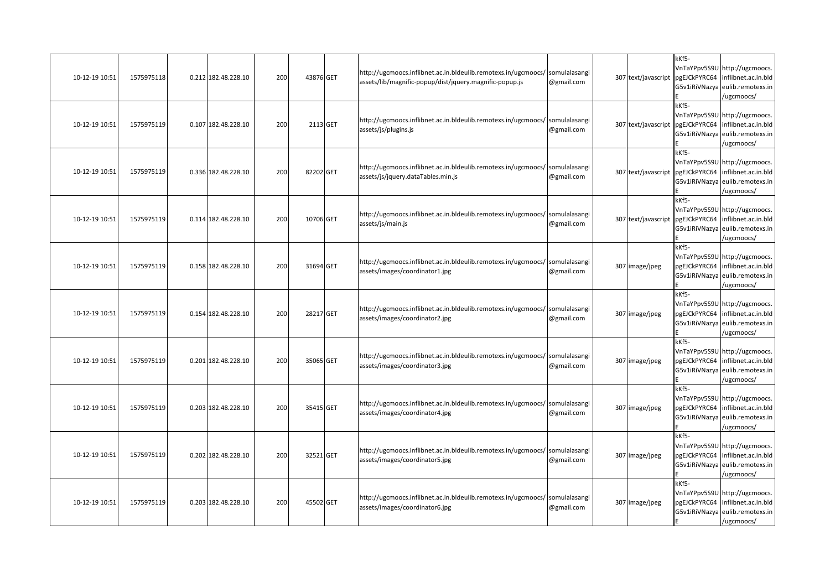| 10-12-19 10:51 | 1575975118 | 0.212 182.48.228.10 | 200 | 43876 GET | http://ugcmoocs.inflibnet.ac.in.bldeulib.remotexs.in/ugcmoocs/ somulalasangi<br>assets/lib/magnific-popup/dist/jquery.magnific-popup.js | @gmail.com | 307 text/javascript | kKf5-<br>pgEJCkPYRC64<br>G5v1iRiVNazya | VnTaYPpv5S9U http://ugcmoocs.<br>inflibnet.ac.in.bld<br>eulib.remotexs.in<br>/ugcmoocs/                            |
|----------------|------------|---------------------|-----|-----------|-----------------------------------------------------------------------------------------------------------------------------------------|------------|---------------------|----------------------------------------|--------------------------------------------------------------------------------------------------------------------|
| 10-12-19 10:51 | 1575975119 | 0.107 182.48.228.10 | 200 | 2113 GET  | http://ugcmoocs.inflibnet.ac.in.bldeulib.remotexs.in/ugcmoocs/ somulalasangi<br>assets/js/plugins.js                                    | @gmail.com | 307 text/javascript | kKf5-<br>pgEJCkPYRC64<br>G5v1iRiVNazya | VnTaYPpv5S9U http://ugcmoocs.<br>inflibnet.ac.in.bld<br>eulib.remotexs.in<br>/ugcmoocs/                            |
| 10-12-19 10:51 | 1575975119 | 0.336 182.48.228.10 | 200 | 82202 GET | http://ugcmoocs.inflibnet.ac.in.bldeulib.remotexs.in/ugcmoocs/ somulalasangi<br>assets/js/jquery.dataTables.min.js                      | @gmail.com | 307 text/javascript | kKf5-<br>pgEJCkPYRC64<br>G5v1iRiVNazya | VnTaYPpv5S9U http://ugcmoocs.<br>inflibnet.ac.in.bld<br>eulib.remotexs.in<br>/ugcmoocs/                            |
| 10-12-19 10:51 | 1575975119 | 0.114 182.48.228.10 | 200 | 10706 GET | http://ugcmoocs.inflibnet.ac.in.bldeulib.remotexs.in/ugcmoocs/ somulalasangi<br>assets/js/main.js                                       | @gmail.com | 307 text/javascript | kKf5-                                  | VnTaYPpv5S9U http://ugcmoocs.<br>pgEJCkPYRC64 inflibnet.ac.in.bld<br>G5v1iRiVNazya eulib.remotexs.in<br>/ugcmoocs/ |
| 10-12-19 10:51 | 1575975119 | 0.158 182.48.228.10 | 200 | 31694 GET | http://ugcmoocs.inflibnet.ac.in.bldeulib.remotexs.in/ugcmoocs/ somulalasangi<br>assets/images/coordinator1.jpg                          | @gmail.com | 307 image/jpeg      | kKf5-<br>pgEJCkPYRC64<br>G5v1iRiVNazya | VnTaYPpv5S9U http://ugcmoocs.<br>inflibnet.ac.in.bld<br>eulib.remotexs.in<br>/ugcmoocs/                            |
| 10-12-19 10:51 | 1575975119 | 0.154 182.48.228.10 | 200 | 28217 GET | http://ugcmoocs.inflibnet.ac.in.bldeulib.remotexs.in/ugcmoocs/ somulalasangi<br>assets/images/coordinator2.jpg                          | @gmail.com | 307 image/jpeg      | kKf5-                                  | VnTaYPpv5S9U http://ugcmoocs.<br>pgEJCkPYRC64 inflibnet.ac.in.bld<br>G5v1iRiVNazya eulib.remotexs.in<br>ugcmoocs/  |
| 10-12-19 10:51 | 1575975119 | 0.201 182.48.228.10 | 200 | 35065 GET | http://ugcmoocs.inflibnet.ac.in.bldeulib.remotexs.in/ugcmoocs/ somulalasangi<br>assets/images/coordinator3.jpg                          | @gmail.com | 307 image/jpeg      | kKf5-<br>pgEJCkPYRC64                  | VnTaYPpv5S9U http://ugcmoocs.<br>inflibnet.ac.in.bld<br>G5v1iRiVNazya eulib.remotexs.in<br>/ugcmoocs/              |
| 10-12-19 10:51 | 1575975119 | 0.203 182.48.228.10 | 200 | 35415 GET | http://ugcmoocs.inflibnet.ac.in.bldeulib.remotexs.in/ugcmoocs/ somulalasangi<br>assets/images/coordinator4.jpg                          | @gmail.com | 307 image/jpeg      | kKf5-<br>G5v1iRiVNazya                 | VnTaYPpv5S9U http://ugcmoocs.<br>pgEJCkPYRC64 inflibnet.ac.in.bld<br>eulib.remotexs.in<br>/ugcmoocs/               |
| 10-12-19 10:51 | 1575975119 | 0.202 182.48.228.10 | 200 | 32521 GET | http://ugcmoocs.inflibnet.ac.in.bldeulib.remotexs.in/ugcmoocs/ somulalasangi<br>assets/images/coordinator5.jpg                          | @gmail.com | 307 image/jpeg      | kKf5-<br>pgEJCkPYRC64<br>G5v1iRiVNazya | VnTaYPpv5S9U http://ugcmoocs.<br>inflibnet.ac.in.bld<br>eulib.remotexs.in<br>/ugcmoocs/                            |
| 10-12-19 10:51 | 1575975119 | 0.203 182.48.228.10 | 200 | 45502 GET | http://ugcmoocs.inflibnet.ac.in.bldeulib.remotexs.in/ugcmoocs/ somulalasangi<br>assets/images/coordinator6.jpg                          | @gmail.com | 307 image/jpeg      | kKf5-<br>pgEJCkPYRC64<br>G5v1iRiVNazya | VnTaYPpv5S9U http://ugcmoocs.<br>inflibnet.ac.in.bld<br>eulib.remotexs.in<br>/ugcmoocs/                            |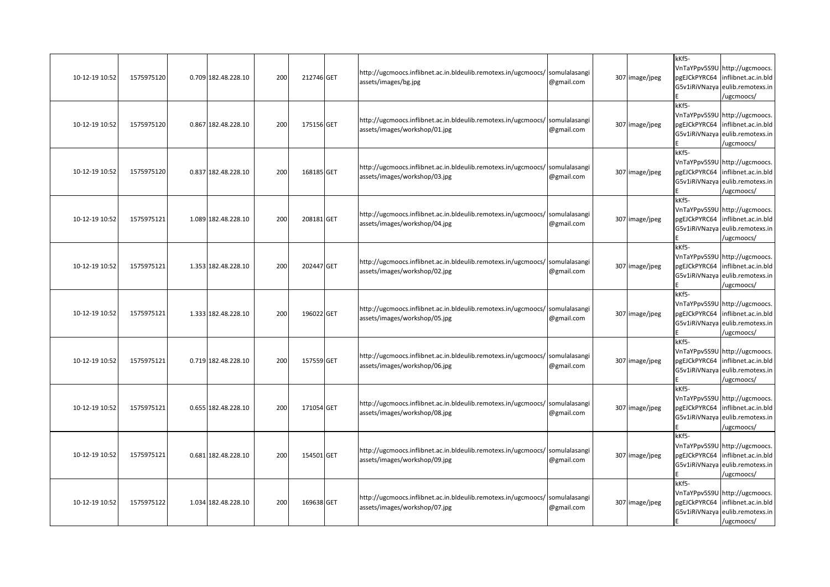| 10-12-19 10:52 | 1575975120 | 0.709 182.48.228.10 | 200 | 212746 GET | http://ugcmoocs.inflibnet.ac.in.bldeulib.remotexs.in/ugcmoocs/ somulalasangi<br>assets/images/bg.jpg          | @gmail.com | 307 image/jpeg | kKf5-<br>pgEJCkPYRC64<br>G5v1iRiVNazya | VnTaYPpv5S9U http://ugcmoocs.<br>inflibnet.ac.in.bld<br>eulib.remotexs.in<br>ugcmoocs/                |
|----------------|------------|---------------------|-----|------------|---------------------------------------------------------------------------------------------------------------|------------|----------------|----------------------------------------|-------------------------------------------------------------------------------------------------------|
| 10-12-19 10:52 | 1575975120 | 0.867 182.48.228.10 | 200 | 175156 GET | http://ugcmoocs.inflibnet.ac.in.bldeulib.remotexs.in/ugcmoocs/ somulalasangi<br>assets/images/workshop/01.jpg | @gmail.com | 307 image/jpeg | kKf5-<br>pgEJCkPYRC64<br>G5v1iRiVNazya | VnTaYPpv5S9U http://ugcmoocs.<br>inflibnet.ac.in.bld<br>eulib.remotexs.in<br>/ugcmoocs/               |
| 10-12-19 10:52 | 1575975120 | 0.837 182.48.228.10 | 200 | 168185 GET | http://ugcmoocs.inflibnet.ac.in.bldeulib.remotexs.in/ugcmoocs/ somulalasangi<br>assets/images/workshop/03.jpg | @gmail.com | 307 image/jpeg | kKf5-<br>pgEJCkPYRC64<br>G5v1iRiVNazya | VnTaYPpv5S9U http://ugcmoocs.<br>inflibnet.ac.in.bld<br>eulib.remotexs.in<br>ugcmoocs/                |
| 10-12-19 10:52 | 1575975121 | 1.089 182.48.228.10 | 200 | 208181 GET | http://ugcmoocs.inflibnet.ac.in.bldeulib.remotexs.in/ugcmoocs/ somulalasangi<br>assets/images/workshop/04.jpg | @gmail.com | 307 image/jpeg | kKf5-<br>pgEJCkPYRC64                  | VnTaYPpv5S9U http://ugcmoocs.<br>inflibnet.ac.in.bld<br>G5v1iRiVNazya eulib.remotexs.in<br>/ugcmoocs/ |
| 10-12-19 10:52 | 1575975121 | 1.353 182.48.228.10 | 200 | 202447 GET | http://ugcmoocs.inflibnet.ac.in.bldeulib.remotexs.in/ugcmoocs/ somulalasangi<br>assets/images/workshop/02.jpg | @gmail.com | 307 image/jpeg | kKf5-<br>pgEJCkPYRC64<br>G5v1iRiVNazya | VnTaYPpv5S9U http://ugcmoocs.<br>inflibnet.ac.in.bld<br>eulib.remotexs.in<br>/ugcmoocs/               |
| 10-12-19 10:52 | 1575975121 | 1.333 182.48.228.10 | 200 | 196022 GET | http://ugcmoocs.inflibnet.ac.in.bldeulib.remotexs.in/ugcmoocs/ somulalasangi<br>assets/images/workshop/05.jpg | @gmail.com | 307 image/jpeg | kKf5-<br>pgEJCkPYRC64                  | VnTaYPpv5S9U http://ugcmoocs.<br>inflibnet.ac.in.bld<br>G5v1iRiVNazya eulib.remotexs.in<br>/ugcmoocs/ |
| 10-12-19 10:52 | 1575975121 | 0.719 182.48.228.10 | 200 | 157559 GET | http://ugcmoocs.inflibnet.ac.in.bldeulib.remotexs.in/ugcmoocs/ somulalasangi<br>assets/images/workshop/06.jpg | @gmail.com | 307 image/jpeg | kKf5-<br>pgEJCkPYRC64                  | VnTaYPpv5S9U http://ugcmoocs.<br>inflibnet.ac.in.bld<br>G5v1iRiVNazya eulib.remotexs.in<br>/ugcmoocs/ |
| 10-12-19 10:52 | 1575975121 | 0.655 182.48.228.10 | 200 | 171054 GET | http://ugcmoocs.inflibnet.ac.in.bldeulib.remotexs.in/ugcmoocs/ somulalasangi<br>assets/images/workshop/08.jpg | @gmail.com | 307 image/jpeg | kKf5-<br>G5v1iRiVNazya                 | VnTaYPpv5S9U http://ugcmoocs.<br>pgEJCkPYRC64 inflibnet.ac.in.bld<br>eulib.remotexs.in<br>/ugcmoocs/  |
| 10-12-19 10:52 | 1575975121 | 0.681 182.48.228.10 | 200 | 154501 GET | http://ugcmoocs.inflibnet.ac.in.bldeulib.remotexs.in/ugcmoocs/ somulalasangi<br>assets/images/workshop/09.jpg | @gmail.com | 307 image/jpeg | kKf5-<br>pgEJCkPYRC64<br>G5v1iRiVNazya | VnTaYPpv5S9U http://ugcmoocs.<br>inflibnet.ac.in.bld<br>eulib.remotexs.in<br>/ugcmoocs/               |
| 10-12-19 10:52 | 1575975122 | 1.034 182.48.228.10 | 200 | 169638 GET | http://ugcmoocs.inflibnet.ac.in.bldeulib.remotexs.in/ugcmoocs/ somulalasangi<br>assets/images/workshop/07.jpg | @gmail.com | 307 image/jpeg | kKf5-<br>pgEJCkPYRC64<br>G5v1iRiVNazya | VnTaYPpv5S9U http://ugcmoocs.<br>inflibnet.ac.in.bld<br>eulib.remotexs.in<br>/ugcmoocs/               |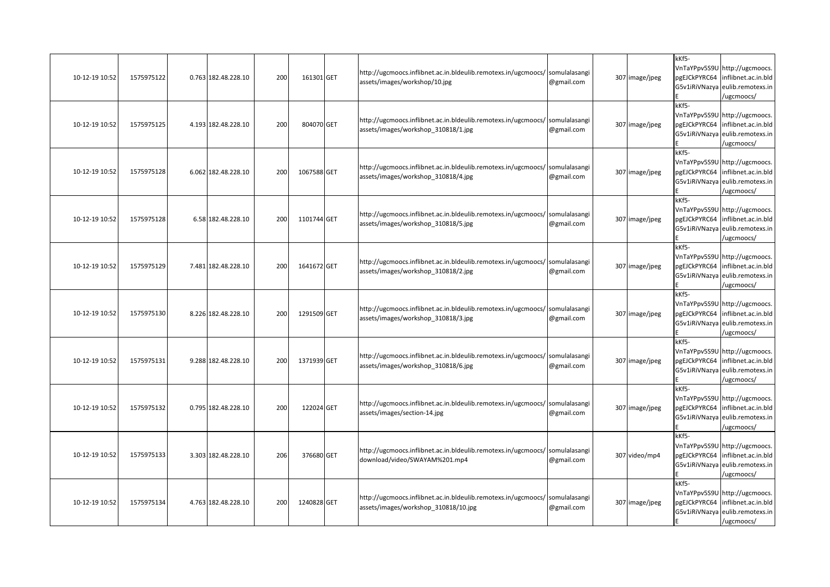| 10-12-19 10:52 | 1575975122 | 0.763 182.48.228.10 | 200 | 161301 GET  | http://ugcmoocs.inflibnet.ac.in.bldeulib.remotexs.in/ugcmoocs/ somulalasangi<br>assets/images/workshop/10.jpg        | @gmail.com | 307 image/jpeg | kKf5-<br>pgEJCkPYRC64<br>G5v1iRiVNazya | VnTaYPpv5S9U http://ugcmoocs.<br>inflibnet.ac.in.bld<br>eulib.remotexs.in<br>/ugcmoocs/                            |
|----------------|------------|---------------------|-----|-------------|----------------------------------------------------------------------------------------------------------------------|------------|----------------|----------------------------------------|--------------------------------------------------------------------------------------------------------------------|
| 10-12-19 10:52 | 1575975125 | 4.193 182.48.228.10 | 200 | 804070 GET  | http://ugcmoocs.inflibnet.ac.in.bldeulib.remotexs.in/ugcmoocs/ somulalasangi<br>assets/images/workshop 310818/1.jpg  | @gmail.com | 307 image/jpeg | kKf5-<br>pgEJCkPYRC64<br>G5v1iRiVNazya | VnTaYPpv5S9U http://ugcmoocs.<br>inflibnet.ac.in.bld<br>eulib.remotexs.in<br>/ugcmoocs/                            |
| 10-12-19 10:52 | 1575975128 | 6.062 182.48.228.10 | 200 | 1067588 GET | http://ugcmoocs.inflibnet.ac.in.bldeulib.remotexs.in/ugcmoocs/ somulalasangi<br>assets/images/workshop 310818/4.jpg  | @gmail.com | 307 image/jpeg | kKf5-<br>pgEJCkPYRC64<br>G5v1iRiVNazya | VnTaYPpv5S9U http://ugcmoocs.<br>inflibnet.ac.in.bld<br>eulib.remotexs.in<br>/ugcmoocs/                            |
| 10-12-19 10:52 | 1575975128 | 6.58 182.48.228.10  | 200 | 1101744 GET | http://ugcmoocs.inflibnet.ac.in.bldeulib.remotexs.in/ugcmoocs/ somulalasangi<br>assets/images/workshop_310818/5.jpg  | @gmail.com | 307 image/jpeg | kKf5-                                  | VnTaYPpv5S9U http://ugcmoocs.<br>pgEJCkPYRC64 inflibnet.ac.in.bld<br>G5v1iRiVNazya eulib.remotexs.in<br>/ugcmoocs/ |
| 10-12-19 10:52 | 1575975129 | 7.481 182.48.228.10 | 200 | 1641672 GET | http://ugcmoocs.inflibnet.ac.in.bldeulib.remotexs.in/ugcmoocs/ somulalasangi<br>assets/images/workshop 310818/2.jpg  | @gmail.com | 307 image/jpeg | kKf5-<br>pgEJCkPYRC64<br>G5v1iRiVNazya | VnTaYPpv5S9U http://ugcmoocs.<br>inflibnet.ac.in.bld<br>eulib.remotexs.in<br>/ugcmoocs/                            |
| 10-12-19 10:52 | 1575975130 | 8.226 182.48.228.10 | 200 | 1291509 GET | http://ugcmoocs.inflibnet.ac.in.bldeulib.remotexs.in/ugcmoocs/ somulalasangi<br>assets/images/workshop 310818/3.jpg  | @gmail.com | 307 image/jpeg | kKf5-                                  | VnTaYPpv5S9U http://ugcmoocs.<br>pgEJCkPYRC64 inflibnet.ac.in.bld<br>G5v1iRiVNazya eulib.remotexs.in<br>ugcmoocs/  |
| 10-12-19 10:52 | 1575975131 | 9.288 182.48.228.10 | 200 | 1371939 GET | http://ugcmoocs.inflibnet.ac.in.bldeulib.remotexs.in/ugcmoocs/ somulalasangi<br>assets/images/workshop_310818/6.jpg  | @gmail.com | 307 image/jpeg | kKf5-<br>pgEJCkPYRC64                  | VnTaYPpv5S9U http://ugcmoocs.<br>inflibnet.ac.in.bld<br>G5v1iRiVNazya eulib.remotexs.in<br>/ugcmoocs/              |
| 10-12-19 10:52 | 1575975132 | 0.795 182.48.228.10 | 200 | 122024 GET  | http://ugcmoocs.inflibnet.ac.in.bldeulib.remotexs.in/ugcmoocs/ somulalasangi<br>assets/images/section-14.jpg         | @gmail.com | 307 image/jpeg | kKf5-<br>pgEJCkPYRC64<br>G5v1iRiVNazya | VnTaYPpv5S9U http://ugcmoocs.<br>inflibnet.ac.in.bld<br>eulib.remotexs.in<br>/ugcmoocs/                            |
| 10-12-19 10:52 | 1575975133 | 3.303 182.48.228.10 | 206 | 376680 GET  | http://ugcmoocs.inflibnet.ac.in.bldeulib.remotexs.in/ugcmoocs/ somulalasangi<br>download/video/SWAYAM%201.mp4        | @gmail.com | 307 video/mp4  | kKf5-<br>pgEJCkPYRC64<br>G5v1iRiVNazya | VnTaYPpv5S9U http://ugcmoocs.<br>inflibnet.ac.in.bld<br>eulib.remotexs.in<br>/ugcmoocs/                            |
| 10-12-19 10:52 | 1575975134 | 4.763 182.48.228.10 | 200 | 1240828 GET | http://ugcmoocs.inflibnet.ac.in.bldeulib.remotexs.in/ugcmoocs/ somulalasangi<br>assets/images/workshop 310818/10.jpg | @gmail.com | 307 image/jpeg | kKf5-<br>pgEJCkPYRC64<br>G5v1iRiVNazya | VnTaYPpv5S9U http://ugcmoocs.<br>inflibnet.ac.in.bld<br>eulib.remotexs.in<br>/ugcmoocs/                            |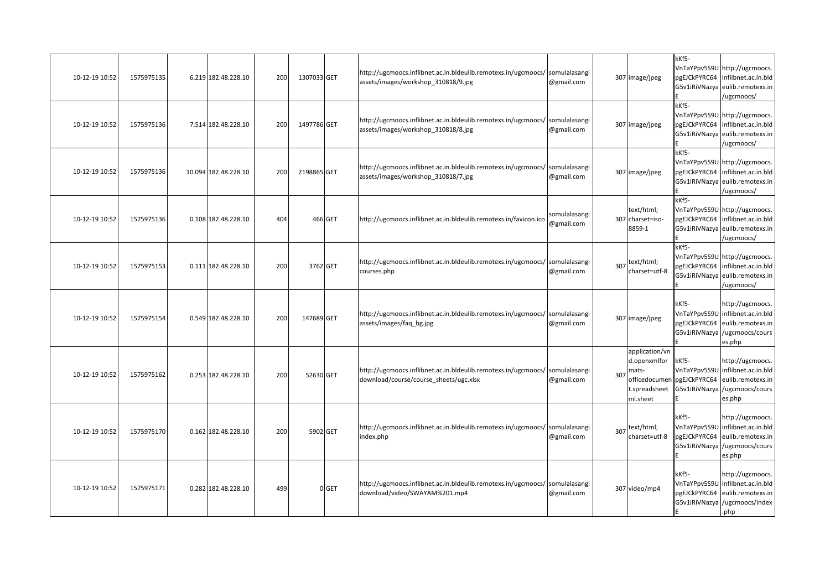| 10-12-19 10:52 | 1575975135 | 6.219 182.48.228.10  | 200 | 1307033 GET |          | http://ugcmoocs.inflibnet.ac.in.bldeulib.remotexs.in/ugcmoocs/ somulalasangi<br>assets/images/workshop 310818/9.jpg    | @gmail.com                  |     | 307 image/jpeg                                                                        | kKf5-<br>pgEJCkPYRC64<br>G5v1iRiVNazya                 | VnTaYPpv5S9U http://ugcmoocs.<br>inflibnet.ac.in.bld<br>eulib.remotexs.in<br>ugcmoocs/                               |
|----------------|------------|----------------------|-----|-------------|----------|------------------------------------------------------------------------------------------------------------------------|-----------------------------|-----|---------------------------------------------------------------------------------------|--------------------------------------------------------|----------------------------------------------------------------------------------------------------------------------|
| 10-12-19 10:52 | 1575975136 | 7.514 182.48.228.10  | 200 | 1497786 GET |          | http://ugcmoocs.inflibnet.ac.in.bldeulib.remotexs.in/ugcmoocs/ somulalasangi<br>assets/images/workshop_310818/8.jpg    | @gmail.com                  |     | 307 image/jpeg                                                                        | kKf5-<br>pgEJCkPYRC64<br>G5v1iRiVNazya                 | VnTaYPpv5S9U http://ugcmoocs.<br>inflibnet.ac.in.bld<br>eulib.remotexs.in<br>/ugcmoocs/                              |
| 10-12-19 10:52 | 1575975136 | 10.094 182.48.228.10 | 200 | 2198865 GET |          | http://ugcmoocs.inflibnet.ac.in.bldeulib.remotexs.in/ugcmoocs/ somulalasangi<br>assets/images/workshop 310818/7.jpg    | @gmail.com                  |     | 307 image/jpeg                                                                        | kKf5-                                                  | VnTaYPpv5S9U http://ugcmoocs.<br>pgEJCkPYRC64 inflibnet.ac.in.bld<br>G5v1iRiVNazya eulib.remotexs.in<br>/ugcmoocs/   |
| 10-12-19 10:52 | 1575975136 | 0.108 182.48.228.10  | 404 |             | 466 GET  | http://ugcmoocs.inflibnet.ac.in.bldeulib.remotexs.in/favicon.ico                                                       | somulalasangi<br>@gmail.com |     | text/html;<br>307 charset=iso-<br>8859-1                                              | kKf5-<br>pgEJCkPYRC64<br>G5v1iRiVNazya                 | VnTaYPpv5S9U http://ugcmoocs.<br>inflibnet.ac.in.bld<br>eulib.remotexs.in<br>/ugcmoocs/                              |
| 10-12-19 10:52 | 1575975153 | 0.111 182.48.228.10  | 200 |             | 3762 GET | http://ugcmoocs.inflibnet.ac.in.bldeulib.remotexs.in/ugcmoocs/ somulalasangi<br>courses.php                            | @gmail.com                  |     | 307 text/html;<br>charset=utf-8                                                       | kKf5-<br>pgEJCkPYRC64<br>G5v1iRiVNazya                 | VnTaYPpv5S9U http://ugcmoocs.<br>inflibnet.ac.in.bld<br>eulib.remotexs.in<br>/ugcmoocs/                              |
| 10-12-19 10:52 | 1575975154 | 0.549 182.48.228.10  | 200 | 147689 GET  |          | http://ugcmoocs.inflibnet.ac.in.bldeulib.remotexs.in/ugcmoocs/ somulalasangi<br>assets/images/faq bg.jpg               | @gmail.com                  |     | 307 image/jpeg                                                                        | kKf5-<br>pgEJCkPYRC64                                  | http://ugcmoocs.<br>VnTaYPpv5S9U inflibnet.ac.in.bld<br>eulib.remotexs.in<br>G5v1iRiVNazya /ugcmoocs/cours<br>es.php |
| 10-12-19 10:52 | 1575975162 | 0.253 182.48.228.10  | 200 | 52630 GET   |          | http://ugcmoocs.inflibnet.ac.in.bldeulib.remotexs.in/ugcmoocs/ somulalasangi<br>download/course/course sheets/ugc.xlsx | @gmail.com                  | 307 | application/vn<br>d.openxmlfor<br>mats-<br>officedocumen<br>t.spreadsheet<br>ml.sheet | kKf5-<br>VnTaYPpv5S9U<br>pgEJCkPYRC64<br>G5v1iRiVNazya | http://ugcmoocs.<br>inflibnet.ac.in.bld<br>eulib.remotexs.in<br>/ugcmoocs/cours<br>es.php                            |
| 10-12-19 10:52 | 1575975170 | 0.162 182.48.228.10  | 200 |             | 5902 GET | http://ugcmoocs.inflibnet.ac.in.bldeulib.remotexs.in/ugcmoocs/ somulalasangi<br>index.php                              | @gmail.com                  |     | 307 text/html;<br>charset=utf-8                                                       | kKf5-<br>pgEJCkPYRC64<br>G5v1iRiVNazya                 | http://ugcmoocs.<br>VnTaYPpv5S9U inflibnet.ac.in.bld<br>eulib.remotexs.in<br>/ugcmoocs/cours<br>es.php               |
| 10-12-19 10:52 | 1575975171 | 0.282 182.48.228.10  | 499 |             | 0 GET    | http://ugcmoocs.inflibnet.ac.in.bldeulib.remotexs.in/ugcmoocs/ somulalasangi<br>download/video/SWAYAM%201.mp4          | @gmail.com                  |     | 307 video/mp4                                                                         | kKf5-<br>pgEJCkPYRC64                                  | http://ugcmoocs.<br>VnTaYPpv5S9U inflibnet.ac.in.bld<br>eulib.remotexs.in<br>G5v1iRiVNazya /ugcmoocs/index<br>.php   |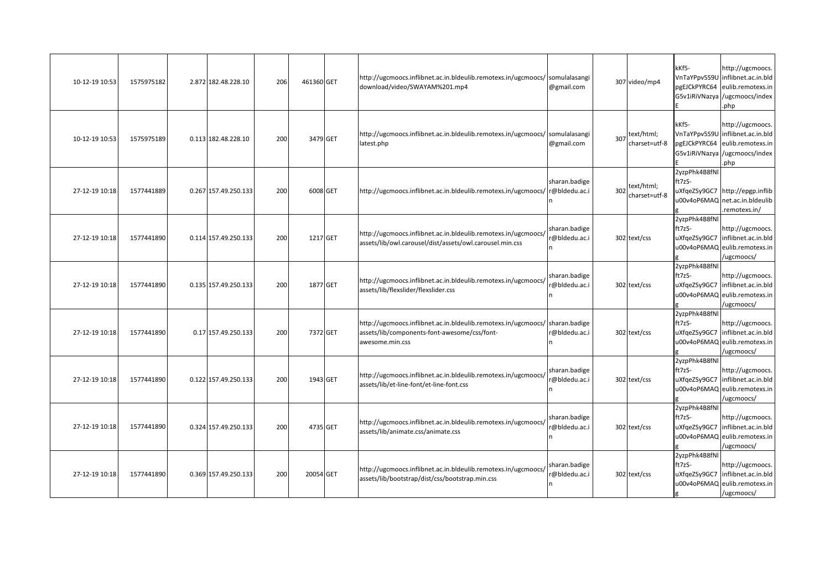| 10-12-19 10:53 | 1575975182 | 2.872 182.48.228.10  | 206 | 461360 GET |          | http://ugcmoocs.inflibnet.ac.in.bldeulib.remotexs.in/ugcmoocs/ somulalasangi<br>download/video/SWAYAM%201.mp4                                   | @gmail.com                     |     | 307 video/mp4                   | kKf5-<br>pgEJCkPYRC64                   | http://ugcmoocs.<br>VnTaYPpv5S9U inflibnet.ac.in.bld<br>eulib.remotexs.in<br>G5v1iRiVNazya /ugcmoocs/index<br>php |
|----------------|------------|----------------------|-----|------------|----------|-------------------------------------------------------------------------------------------------------------------------------------------------|--------------------------------|-----|---------------------------------|-----------------------------------------|-------------------------------------------------------------------------------------------------------------------|
| 10-12-19 10:53 | 1575975189 | 0.113 182.48.228.10  | 200 |            | 3479 GET | http://ugcmoocs.inflibnet.ac.in.bldeulib.remotexs.in/ugcmoocs/ somulalasangi<br>latest.php                                                      | @gmail.com                     |     | 307 text/html;<br>charset=utf-8 | kKf5-<br>VnTaYPpv5S9U<br>pgEJCkPYRC64   | http://ugcmoocs.<br>inflibnet.ac.in.bld<br>eulib.remotexs.in<br>G5v1iRiVNazya /ugcmoocs/index<br>php              |
| 27-12-19 10:18 | 1577441889 | 0.267 157.49.250.133 | 200 | 6008 GET   |          | http://ugcmoocs.inflibnet.ac.in.bldeulib.remotexs.in/ugcmoocs/                                                                                  | sharan.badige<br>r@bldedu.ac.i | 302 | text/html;<br>charset=utf-8     | 2yzpPhk4B8fNl<br>ft7zS-                 | uXfqeZSy9GC7 http://epgp.inflib<br>u00v4oP6MAQ net.ac.in.bldeulib<br>remotexs.in/                                 |
| 27-12-19 10:18 | 1577441890 | 0.114 157.49.250.133 | 200 |            | 1217 GET | http://ugcmoocs.inflibnet.ac.in.bldeulib.remotexs.in/ugcmoocs/<br>assets/lib/owl.carousel/dist/assets/owl.carousel.min.css                      | sharan.badige<br>@bldedu.ac.i  |     | 302 text/css                    | 2yzpPhk4B8fNl<br>ft7zS-                 | http://ugcmoocs.<br>uXfgeZSy9GC7 inflibnet.ac.in.bld<br>u00v4oP6MAQ eulib.remotexs.in<br>/ugcmoocs/               |
| 27-12-19 10:18 | 1577441890 | 0.135 157.49.250.133 | 200 | 1877 GET   |          | http://ugcmoocs.inflibnet.ac.in.bldeulib.remotexs.in/ugcmoocs/<br>assets/lib/flexslider/flexslider.css                                          | sharan.badige<br>@bldedu.ac.i  |     | 302 text/css                    | 2yzpPhk4B8fNl<br>ft7zS-<br>uXfgeZSy9GC7 | http://ugcmoocs.<br>inflibnet.ac.in.bld<br>u00v4oP6MAQ eulib.remotexs.in<br>ugcmoocs/                             |
| 27-12-19 10:18 | 1577441890 | 0.17 157.49.250.133  | 200 | 7372 GET   |          | http://ugcmoocs.inflibnet.ac.in.bldeulib.remotexs.in/ugcmoocs/ sharan.badige<br>assets/lib/components-font-awesome/css/font-<br>awesome.min.css | @bldedu.ac.i                   |     | 302 text/css                    | 2yzpPhk4B8fNl<br>ft7zS-<br>uXfgeZSy9GC7 | http://ugcmoocs.<br>inflibnet.ac.in.bld<br>u00v4oP6MAQ eulib.remotexs.in<br>/ugcmoocs/                            |
| 27-12-19 10:18 | 1577441890 | 0.122 157.49.250.133 | 200 | 1943 GET   |          | http://ugcmoocs.inflibnet.ac.in.bldeulib.remotexs.in/ugcmoocs/<br>assets/lib/et-line-font/et-line-font.css                                      | sharan.badige<br>@bldedu.ac.i  |     | 302 text/css                    | 2yzpPhk4B8fNl<br>ft7zS-<br>uXfqeZSy9GC7 | http://ugcmoocs.<br>inflibnet.ac.in.bld<br>u00v4oP6MAQ eulib.remotexs.in<br>/ugcmoocs/                            |
| 27-12-19 10:18 | 1577441890 | 0.324 157.49.250.133 | 200 |            | 4735 GET | http://ugcmoocs.inflibnet.ac.in.bldeulib.remotexs.in/ugcmoocs/<br>assets/lib/animate.css/animate.css                                            | sharan.badige<br>@bldedu.ac.i  |     | 302 text/css                    | 2yzpPhk4B8fNl<br>ft7zS-<br>uXfgeZSy9GC7 | http://ugcmoocs.<br>inflibnet.ac.in.bld<br>u00v4oP6MAQ eulib.remotexs.in<br>/ugcmoocs/                            |
| 27-12-19 10:18 | 1577441890 | 0.369 157.49.250.133 | 200 | 20054 GET  |          | http://ugcmoocs.inflibnet.ac.in.bldeulib.remotexs.in/ugcmoocs/<br>assets/lib/bootstrap/dist/css/bootstrap.min.css                               | sharan.badige<br>@bldedu.ac.i  |     | 302 text/css                    | 2yzpPhk4B8fNl<br>ft7zS-<br>uXfqeZSy9GC7 | http://ugcmoocs.<br>inflibnet.ac.in.bld<br>u00v4oP6MAQ eulib.remotexs.in<br>/ugcmoocs/                            |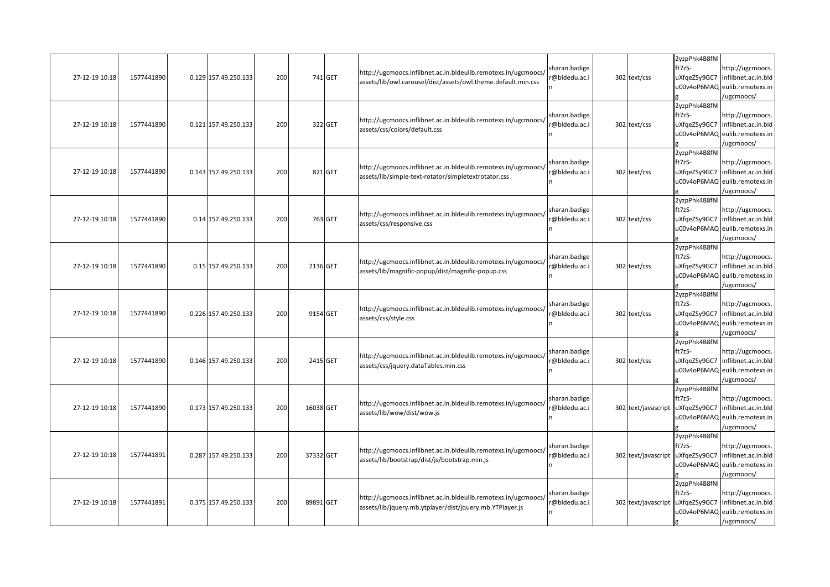| 27-12-19 10:18 | 1577441890 | 0.129 157.49.250.133 | 200 |           | 741 GET | http://ugcmoocs.inflibnet.ac.in.bldeulib.remotexs.in/ugcmoocs/<br>assets/lib/owl.carousel/dist/assets/owl.theme.default.min.css | sharan.badige<br>@bldedu.ac.i  | 302 text/css        | 2yzpPhk4B8fNl<br>ft7zS-<br>uXfqeZSy9GC7<br>u00v4oP6MAQ | http://ugcmoocs.<br>inflibnet.ac.in.bld<br>eulib.remotexs.in<br>ugcmoocs/             |
|----------------|------------|----------------------|-----|-----------|---------|---------------------------------------------------------------------------------------------------------------------------------|--------------------------------|---------------------|--------------------------------------------------------|---------------------------------------------------------------------------------------|
| 27-12-19 10:18 | 1577441890 | 0.121 157.49.250.133 | 200 |           | 322 GET | http://ugcmoocs.inflibnet.ac.in.bldeulib.remotexs.in/ugcmoocs/<br>assets/css/colors/default.css                                 | sharan.badige<br>@bldedu.ac.i  | 302 text/css        | 2yzpPhk4B8fNl<br>ft7zS-<br>uXfgeZSy9GC7                | http://ugcmoocs.<br>inflibnet.ac.in.bld<br>u00v4oP6MAQ eulib.remotexs.in<br>ugcmoocs/ |
| 27-12-19 10:18 | 1577441890 | 0.143 157.49.250.133 | 200 |           | 821 GET | http://ugcmoocs.inflibnet.ac.in.bldeulib.remotexs.in/ugcmoocs/<br>assets/lib/simple-text-rotator/simpletextrotator.css          | sharan.badige<br>@bldedu.ac.i  | 302 text/css        | 2yzpPhk4B8fNl<br>ft7zS-<br>uXfqeZSy9GC7<br>u00v4oP6MAQ | http://ugcmoocs.<br>inflibnet.ac.in.bld<br>eulib.remotexs.in<br>/ugcmoocs/            |
| 27-12-19 10:18 | 1577441890 | 0.14 157.49.250.133  | 200 |           | 763 GET | http://ugcmoocs.inflibnet.ac.in.bldeulib.remotexs.in/ugcmoocs/<br>assets/css/responsive.css                                     | sharan.badige<br>@bldedu.ac.i  | 302 text/css        | 2yzpPhk4B8fNl<br>ft7zS-<br>uXfqeZSy9GC7                | http://ugcmoocs.<br>inflibnet.ac.in.bld<br>u00v4oP6MAQ eulib.remotexs.in<br>ugcmoocs/ |
| 27-12-19 10:18 | 1577441890 | 0.15 157.49.250.133  | 200 | 2136 GET  |         | http://ugcmoocs.inflibnet.ac.in.bldeulib.remotexs.in/ugcmoocs/<br>assets/lib/magnific-popup/dist/magnific-popup.css             | sharan.badige<br>@bldedu.ac.i  | 302 text/css        | 2yzpPhk4B8fNl<br>ft7zS-<br>uXfqeZSy9GC7                | http://ugcmoocs.<br>inflibnet.ac.in.bld<br>u00v4oP6MAQ eulib.remotexs.in<br>ugcmoocs/ |
| 27-12-19 10:18 | 1577441890 | 0.226 157.49.250.133 | 200 | 9154 GET  |         | http://ugcmoocs.inflibnet.ac.in.bldeulib.remotexs.in/ugcmoocs/<br>assets/css/style.css                                          | sharan.badige<br>@bldedu.ac.i  | 302 text/css        | 2yzpPhk4B8fNl<br>ft7zS-<br>uXfqeZSy9GC7                | http://ugcmoocs.<br>inflibnet.ac.in.bld<br>u00v4oP6MAQ eulib.remotexs.in<br>ugcmoocs/ |
| 27-12-19 10:18 | 1577441890 | 0.146 157.49.250.133 | 200 | 2415 GET  |         | http://ugcmoocs.inflibnet.ac.in.bldeulib.remotexs.in/ugcmoocs/<br>assets/css/jquery.dataTables.min.css                          | sharan.badige<br>@bldedu.ac.i  | 302 text/css        | 2yzpPhk4B8fNl<br>ft7zS-<br>uXfqeZSy9GC7                | http://ugcmoocs.<br>inflibnet.ac.in.bld<br>u00v4oP6MAQ eulib.remotexs.in<br>ugcmoocs/ |
| 27-12-19 10:18 | 1577441890 | 0.173 157.49.250.133 | 200 | 16038 GET |         | http://ugcmoocs.inflibnet.ac.in.bldeulib.remotexs.in/ugcmoocs/<br>assets/lib/wow/dist/wow.js                                    | sharan.badige<br>r@bldedu.ac.i | 302 text/javascript | 2yzpPhk4B8fNl<br>ft7zS-<br>uXfqeZSy9GC7<br>u00v4oP6MAQ | http://ugcmoocs.<br>inflibnet.ac.in.bld<br>eulib.remotexs.in<br>ugcmoocs/             |
| 27-12-19 10:18 | 1577441891 | 0.287 157.49.250.133 | 200 | 37332 GET |         | http://ugcmoocs.inflibnet.ac.in.bldeulib.remotexs.in/ugcmoocs/<br>assets/lib/bootstrap/dist/js/bootstrap.min.js                 | sharan.badige<br>@bldedu.ac.i  | 302 text/javascript | 2yzpPhk4B8fNl<br>ft7zS-<br>uXfqeZSy9GC7                | http://ugcmoocs.<br>inflibnet.ac.in.bld<br>u00v4oP6MAQ eulib.remotexs.in<br>ugcmoocs/ |
| 27-12-19 10:18 | 1577441891 | 0.375 157.49.250.133 | 200 | 89891 GET |         | http://ugcmoocs.inflibnet.ac.in.bldeulib.remotexs.in/ugcmoocs/<br>assets/lib/jquery.mb.ytplayer/dist/jquery.mb.YTPlayer.js      | sharan.badige<br>r@bldedu.ac.i | 302 text/javascript | 2yzpPhk4B8fNl<br>ft7zS-<br>uXfqeZSy9GC7<br>u00v4oP6MAQ | http://ugcmoocs.<br>inflibnet.ac.in.bld<br>eulib.remotexs.in<br>/ugcmoocs/            |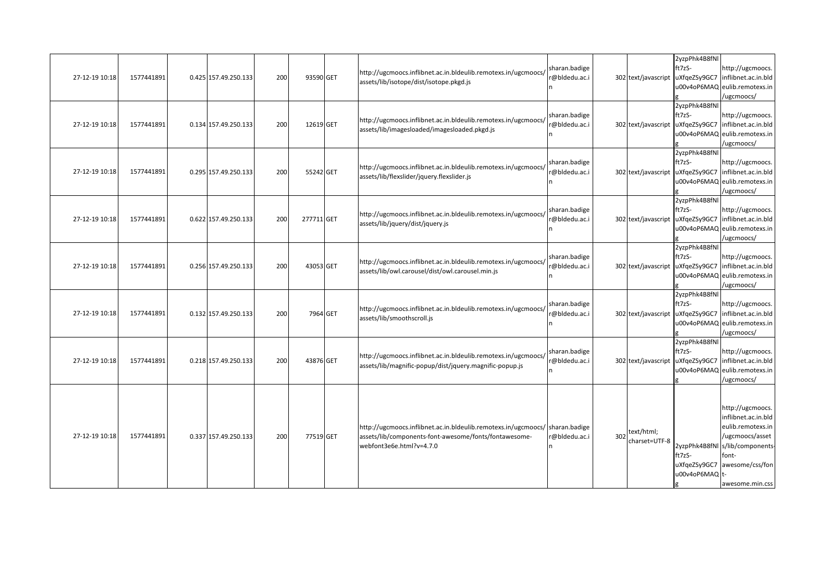| 27-12-19 10:18 | 1577441891 | 0.425 157.49.250.133 | 200 | 93590 GET  | http://ugcmoocs.inflibnet.ac.in.bldeulib.remotexs.in/ugcmoocs/<br>assets/lib/isotope/dist/isotope.pkgd.js                                                         | sharan.badige<br>r@bldedu.ac.i |     | 302 text/javascript         | 2yzpPhk4B8fNl<br>ft7zS-<br>uXfgeZSy9GC7                | http://ugcmoocs.<br>inflibnet.ac.in.bld<br>u00v4oP6MAQ eulib.remotexs.in<br>/ugcmoocs/                                                                            |
|----------------|------------|----------------------|-----|------------|-------------------------------------------------------------------------------------------------------------------------------------------------------------------|--------------------------------|-----|-----------------------------|--------------------------------------------------------|-------------------------------------------------------------------------------------------------------------------------------------------------------------------|
| 27-12-19 10:18 | 1577441891 | 0.134 157.49.250.133 | 200 | 12619 GET  | http://ugcmoocs.inflibnet.ac.in.bldeulib.remotexs.in/ugcmoocs/<br>assets/lib/imagesloaded/imagesloaded.pkgd.js                                                    | sharan.badige<br>r@bldedu.ac.i |     | 302 text/javascript         | 2yzpPhk4B8fNl<br>ft7zS-<br>uXfgeZSy9GC7<br>u00v4oP6MAQ | http://ugcmoocs.<br>inflibnet.ac.in.bld<br>eulib.remotexs.in<br>/ugcmoocs/                                                                                        |
| 27-12-19 10:18 | 1577441891 | 0.295 157.49.250.133 | 200 | 55242 GET  | http://ugcmoocs.inflibnet.ac.in.bldeulib.remotexs.in/ugcmoocs/<br>assets/lib/flexslider/jquery.flexslider.js                                                      | sharan.badige<br>r@bldedu.ac.i |     | 302 text/javascript         | 2yzpPhk4B8fNl<br>ft7zS-<br>uXfgeZSy9GC7<br>u00v4oP6MAQ | http://ugcmoocs.<br>inflibnet.ac.in.bld<br>eulib.remotexs.in<br>/ugcmoocs/                                                                                        |
| 27-12-19 10:18 | 1577441891 | 0.622 157.49.250.133 | 200 | 277711 GET | http://ugcmoocs.inflibnet.ac.in.bldeulib.remotexs.in/ugcmoocs/<br>assets/lib/jquery/dist/jquery.js                                                                | sharan.badige<br>@bldedu.ac.i  |     | 302 text/javascript         | 2yzpPhk4B8fNl<br>ft7zS-<br>uXfgeZSy9GC7                | http://ugcmoocs.<br>inflibnet.ac.in.bld<br>u00v4oP6MAQ eulib.remotexs.in<br>/ugcmoocs/                                                                            |
| 27-12-19 10:18 | 1577441891 | 0.256 157.49.250.133 | 200 | 43053 GET  | http://ugcmoocs.inflibnet.ac.in.bldeulib.remotexs.in/ugcmoocs/<br>assets/lib/owl.carousel/dist/owl.carousel.min.js                                                | sharan.badige<br>@bldedu.ac.i  |     | 302 text/javascript         | 2yzpPhk4B8fNl<br>ft7zS-<br>uXfgeZSy9GC7                | http://ugcmoocs.<br>inflibnet.ac.in.bld<br>u00v4oP6MAQ eulib.remotexs.in<br>/ugcmoocs/                                                                            |
| 27-12-19 10:18 | 1577441891 | 0.132 157.49.250.133 | 200 | 7964 GET   | http://ugcmoocs.inflibnet.ac.in.bldeulib.remotexs.in/ugcmoocs/<br>assets/lib/smoothscroll.js                                                                      | sharan.badige<br>r@bldedu.ac.i |     | 302 text/javascript         | 2yzpPhk4B8fNl<br>ft7zS-<br>uXfgeZSy9GC7<br>u00v4oP6MAQ | http://ugcmoocs.<br>inflibnet.ac.in.bld<br>eulib.remotexs.in<br>/ugcmoocs/                                                                                        |
| 27-12-19 10:18 | 1577441891 | 0.218 157.49.250.133 | 200 | 43876 GET  | http://ugcmoocs.inflibnet.ac.in.bldeulib.remotexs.in/ugcmoocs/<br>assets/lib/magnific-popup/dist/jquery.magnific-popup.js                                         | sharan.badige<br>@bldedu.ac.i  |     | 302 text/javascript         | 2yzpPhk4B8fNl<br>ft7zS-<br>uXfgeZSy9GC7<br>u00v4oP6MAQ | http://ugcmoocs.<br>inflibnet.ac.in.bld<br>eulib.remotexs.in<br>/ugcmoocs/                                                                                        |
| 27-12-19 10:18 | 1577441891 | 0.337 157.49.250.133 | 200 | 77519 GET  | http://ugcmoocs.inflibnet.ac.in.bldeulib.remotexs.in/ugcmoocs/ sharan.badige<br>assets/lib/components-font-awesome/fonts/fontawesome-<br>webfont3e6e.html?v=4.7.0 | @bldedu.ac.i                   | 302 | text/html;<br>charset=UTF-8 | ft7zS-<br>uXfgeZSy9GC7<br>u00v4oP6MAQ t-               | http://ugcmoocs.<br>inflibnet.ac.in.bld<br>eulib.remotexs.in<br>/ugcmoocs/asset<br>2yzpPhk4B8fNl s/lib/components-<br>font-<br>awesome/css/fon<br>awesome.min.css |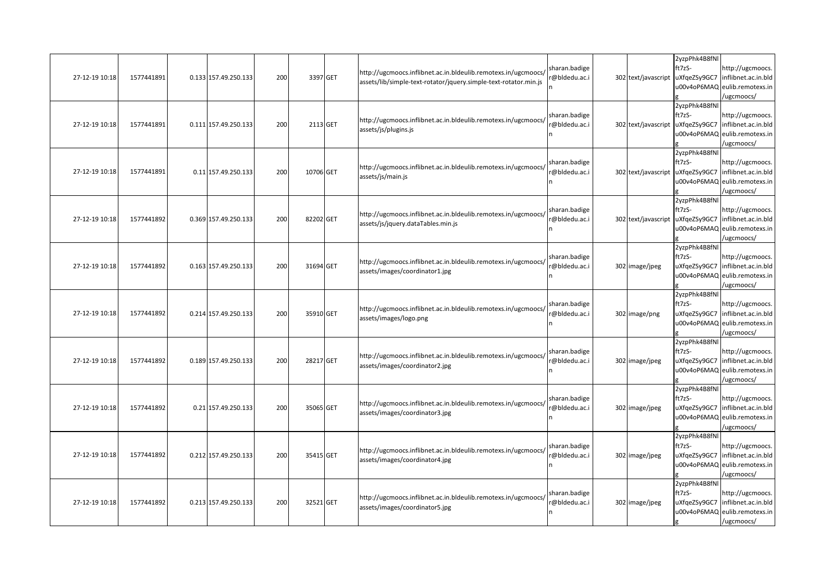| 27-12-19 10:18 | 1577441891 | 0.133 157.49.250.133 | 200 | 3397 GET  | http://ugcmoocs.inflibnet.ac.in.bldeulib.remotexs.in/ugcmoocs/<br>assets/lib/simple-text-rotator/jquery.simple-text-rotator.min.js | sharan.badige<br>@bldedu.ac.i | 302 text/javascript | 2yzpPhk4B8fNl<br>ft7zS-<br>uXfqeZSy9GC7<br>u00v4oP6MAQ | http://ugcmoocs.<br>inflibnet.ac.in.bld<br>eulib.remotexs.in<br>ugcmoocs/                            |
|----------------|------------|----------------------|-----|-----------|------------------------------------------------------------------------------------------------------------------------------------|-------------------------------|---------------------|--------------------------------------------------------|------------------------------------------------------------------------------------------------------|
| 27-12-19 10:18 | 1577441891 | 0.111 157.49.250.133 | 200 | 2113 GET  | http://ugcmoocs.inflibnet.ac.in.bldeulib.remotexs.in/ugcmoocs/<br>assets/js/plugins.js                                             | sharan.badige<br>@bldedu.ac.i | 302 text/javascript | 2yzpPhk4B8fNl<br>ft7zS-<br>uXfqeZSy9GC7                | http://ugcmoocs.<br>inflibnet.ac.in.bld<br>u00v4oP6MAQ eulib.remotexs.in<br>ugcmoocs/                |
| 27-12-19 10:18 | 1577441891 | 0.11 157.49.250.133  | 200 | 10706 GET | http://ugcmoocs.inflibnet.ac.in.bldeulib.remotexs.in/ugcmoocs/<br>assets/js/main.js                                                | sharan.badige<br>@bldedu.ac.i | 302 text/javascript | 2yzpPhk4B8fNl<br>ft7zS-<br>uXfgeZSy9GC7<br>u00v4oP6MAQ | http://ugcmoocs.<br>inflibnet.ac.in.bld<br>eulib.remotexs.in<br>ugcmoocs/                            |
| 27-12-19 10:18 | 1577441892 | 0.369 157.49.250.133 | 200 | 82202 GET | http://ugcmoocs.inflibnet.ac.in.bldeulib.remotexs.in/ugcmoocs/<br>assets/js/jquery.dataTables.min.js                               | sharan.badige<br>@bldedu.ac.i | 302 text/javascript | 2yzpPhk4B8fNl<br>ft7zS-<br>uXfqeZSy9GC7                | http://ugcmoocs.<br>inflibnet.ac.in.bld<br>u00v4oP6MAQ eulib.remotexs.in<br>ugcmoocs/                |
| 27-12-19 10:18 | 1577441892 | 0.163 157.49.250.133 | 200 | 31694 GET | http://ugcmoocs.inflibnet.ac.in.bldeulib.remotexs.in/ugcmoocs/<br>assets/images/coordinator1.jpg                                   | sharan.badige<br>@bldedu.ac.i | 302 image/jpeg      | 2yzpPhk4B8fNl<br>ft7zS-                                | http://ugcmoocs.<br>uXfqeZSy9GC7   inflibnet.ac.in.bld<br>u00v4oP6MAQ eulib.remotexs.in<br>ugcmoocs/ |
| 27-12-19 10:18 | 1577441892 | 0.214 157.49.250.133 | 200 | 35910 GET | http://ugcmoocs.inflibnet.ac.in.bldeulib.remotexs.in/ugcmoocs/<br>assets/images/logo.png                                           | sharan.badige<br>@bldedu.ac.i | 302 image/png       | 2yzpPhk4B8fNl<br>ft7zS-<br>uXfqeZSy9GC7                | http://ugcmoocs.<br>inflibnet.ac.in.bld<br>u00v4oP6MAQ eulib.remotexs.in<br>/ugcmoocs/               |
| 27-12-19 10:18 | 1577441892 | 0.189 157.49.250.133 | 200 | 28217 GET | http://ugcmoocs.inflibnet.ac.in.bldeulib.remotexs.in/ugcmoocs/<br>assets/images/coordinator2.jpg                                   | sharan.badige<br>@bldedu.ac.i | 302 image/jpeg      | 2yzpPhk4B8fNl<br>ft7zS-<br>uXfqeZSy9GC7                | http://ugcmoocs.<br>inflibnet.ac.in.bld<br>u00v4oP6MAQ eulib.remotexs.in<br>ugcmoocs/                |
| 27-12-19 10:18 | 1577441892 | 0.21 157.49.250.133  | 200 | 35065 GET | http://ugcmoocs.inflibnet.ac.in.bldeulib.remotexs.in/ugcmoocs/<br>assets/images/coordinator3.jpg                                   | sharan.badige<br>@bldedu.ac.i | 302 image/jpeg      | 2yzpPhk4B8fNl<br>ft7zS-<br>uXfqeZSy9GC7<br>u00v4oP6MAQ | http://ugcmoocs.<br>inflibnet.ac.in.bld<br>eulib.remotexs.in<br>ugcmoocs/                            |
| 27-12-19 10:18 | 1577441892 | 0.212 157.49.250.133 | 200 | 35415 GET | http://ugcmoocs.inflibnet.ac.in.bldeulib.remotexs.in/ugcmoocs/<br>assets/images/coordinator4.jpg                                   | sharan.badige<br>@bldedu.ac.i | 302 image/jpeg      | 2yzpPhk4B8fNl<br>ft7zS-<br>uXfqeZSy9GC7                | http://ugcmoocs.<br>inflibnet.ac.in.bld<br>u00v4oP6MAQ eulib.remotexs.in<br>ugcmoocs/                |
| 27-12-19 10:18 | 1577441892 | 0.213 157.49.250.133 | 200 | 32521 GET | http://ugcmoocs.inflibnet.ac.in.bldeulib.remotexs.in/ugcmoocs/<br>assets/images/coordinator5.jpg                                   | sharan.badige<br>@bldedu.ac.i | 302 image/jpeg      | 2yzpPhk4B8fNl<br>ft7zS-<br>uXfgeZSy9GC7<br>u00v4oP6MAQ | http://ugcmoocs.<br>inflibnet.ac.in.bld<br>eulib.remotexs.in<br>/ugcmoocs/                           |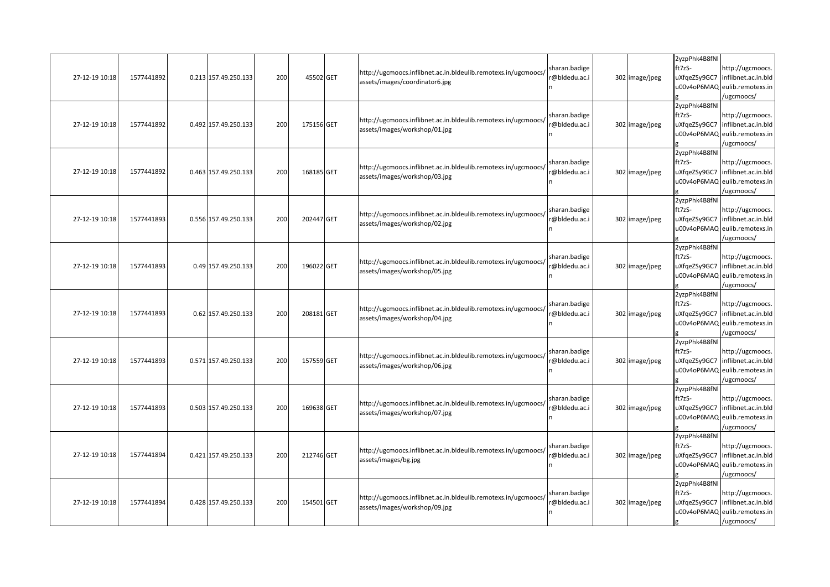| 27-12-19 10:18 | 1577441892 | 0.213 157.49.250.133 | 200 | 45502 GET  | http://ugcmoocs.inflibnet.ac.in.bldeulib.remotexs.in/ugcmoocs/<br>assets/images/coordinator6.jpg | sharan.badige<br>@bldedu.ac.i  | 302 image/jpeg | 2yzpPhk4B8fNl<br>ft7zS-<br>uXfqeZSy9GC7<br>u00v4oP6MAQ | http://ugcmoocs.<br>inflibnet.ac.in.bld<br>eulib.remotexs.in<br>ugcmoocs/                            |
|----------------|------------|----------------------|-----|------------|--------------------------------------------------------------------------------------------------|--------------------------------|----------------|--------------------------------------------------------|------------------------------------------------------------------------------------------------------|
| 27-12-19 10:18 | 1577441892 | 0.492 157.49.250.133 | 200 | 175156 GET | http://ugcmoocs.inflibnet.ac.in.bldeulib.remotexs.in/ugcmoocs/<br>assets/images/workshop/01.jpg  | sharan.badige<br>r@bldedu.ac.i | 302 image/jpeg | 2yzpPhk4B8fNl<br>ft7zS-<br>uXfqeZSy9GC7                | http://ugcmoocs.<br>inflibnet.ac.in.bld<br>u00v4oP6MAQ eulib.remotexs.in<br>ugcmoocs/                |
| 27-12-19 10:18 | 1577441892 | 0.463 157.49.250.133 | 200 | 168185 GET | http://ugcmoocs.inflibnet.ac.in.bldeulib.remotexs.in/ugcmoocs/<br>assets/images/workshop/03.jpg  | sharan.badige<br>@bldedu.ac.i  | 302 image/jpeg | 2yzpPhk4B8fNl<br>ft7zS-<br>uXfgeZSy9GC7<br>u00v4oP6MAQ | http://ugcmoocs.<br>inflibnet.ac.in.bld<br>eulib.remotexs.in<br>ugcmoocs/                            |
| 27-12-19 10:18 | 1577441893 | 0.556 157.49.250.133 | 200 | 202447 GET | http://ugcmoocs.inflibnet.ac.in.bldeulib.remotexs.in/ugcmoocs/<br>assets/images/workshop/02.jpg  | sharan.badige<br>@bldedu.ac.i  | 302 image/jpeg | 2yzpPhk4B8fNl<br>ft7zS-<br>uXfqeZSy9GC7                | http://ugcmoocs.<br>inflibnet.ac.in.bld<br>u00v4oP6MAQ eulib.remotexs.in<br>ugcmoocs/                |
| 27-12-19 10:18 | 1577441893 | 0.49 157.49.250.133  | 200 | 196022 GET | http://ugcmoocs.inflibnet.ac.in.bldeulib.remotexs.in/ugcmoocs/<br>assets/images/workshop/05.jpg  | sharan.badige<br>@bldedu.ac.i  | 302 image/jpeg | 2yzpPhk4B8fNl<br>ft7zS-                                | http://ugcmoocs.<br>uXfqeZSy9GC7   inflibnet.ac.in.bld<br>u00v4oP6MAQ eulib.remotexs.in<br>ugcmoocs/ |
| 27-12-19 10:18 | 1577441893 | 0.62 157.49.250.133  | 200 | 208181 GET | http://ugcmoocs.inflibnet.ac.in.bldeulib.remotexs.in/ugcmoocs/<br>assets/images/workshop/04.jpg  | sharan.badige<br>@bldedu.ac.i  | 302 image/jpeg | 2yzpPhk4B8fNl<br>ft7zS-<br>uXfqeZSy9GC7                | http://ugcmoocs.<br>inflibnet.ac.in.bld<br>u00v4oP6MAQ eulib.remotexs.in<br>/ugcmoocs/               |
| 27-12-19 10:18 | 1577441893 | 0.571 157.49.250.133 | 200 | 157559 GET | http://ugcmoocs.inflibnet.ac.in.bldeulib.remotexs.in/ugcmoocs/<br>assets/images/workshop/06.jpg  | sharan.badige<br>@bldedu.ac.i  | 302 image/jpeg | 2yzpPhk4B8fNl<br>ft7zS-<br>uXfqeZSy9GC7                | http://ugcmoocs.<br>inflibnet.ac.in.bld<br>u00v4oP6MAQ eulib.remotexs.in<br>ugcmoocs/                |
| 27-12-19 10:18 | 1577441893 | 0.503 157.49.250.133 | 200 | 169638 GET | http://ugcmoocs.inflibnet.ac.in.bldeulib.remotexs.in/ugcmoocs/<br>assets/images/workshop/07.jpg  | sharan.badige<br>@bldedu.ac.i  | 302 image/jpeg | 2yzpPhk4B8fNl<br>ft7zS-<br>uXfqeZSy9GC7<br>u00v4oP6MAQ | http://ugcmoocs.<br>inflibnet.ac.in.bld<br>eulib.remotexs.in<br>ugcmoocs/                            |
| 27-12-19 10:18 | 1577441894 | 0.421 157.49.250.133 | 200 | 212746 GET | http://ugcmoocs.inflibnet.ac.in.bldeulib.remotexs.in/ugcmoocs/<br>assets/images/bg.jpg           | sharan.badige<br>@bldedu.ac.i  | 302 image/jpeg | 2yzpPhk4B8fNl<br>ft7zS-<br>uXfqeZSy9GC7                | http://ugcmoocs.<br>inflibnet.ac.in.bld<br>u00v4oP6MAQ eulib.remotexs.in<br>ugcmoocs/                |
| 27-12-19 10:18 | 1577441894 | 0.428 157.49.250.133 | 200 | 154501 GET | http://ugcmoocs.inflibnet.ac.in.bldeulib.remotexs.in/ugcmoocs/<br>assets/images/workshop/09.jpg  | sharan.badige<br>@bldedu.ac.i  | 302 image/jpeg | 2yzpPhk4B8fNl<br>ft7zS-<br>uXfgeZSy9GC7<br>u00v4oP6MAQ | http://ugcmoocs.<br>inflibnet.ac.in.bld<br>eulib.remotexs.in<br>/ugcmoocs/                           |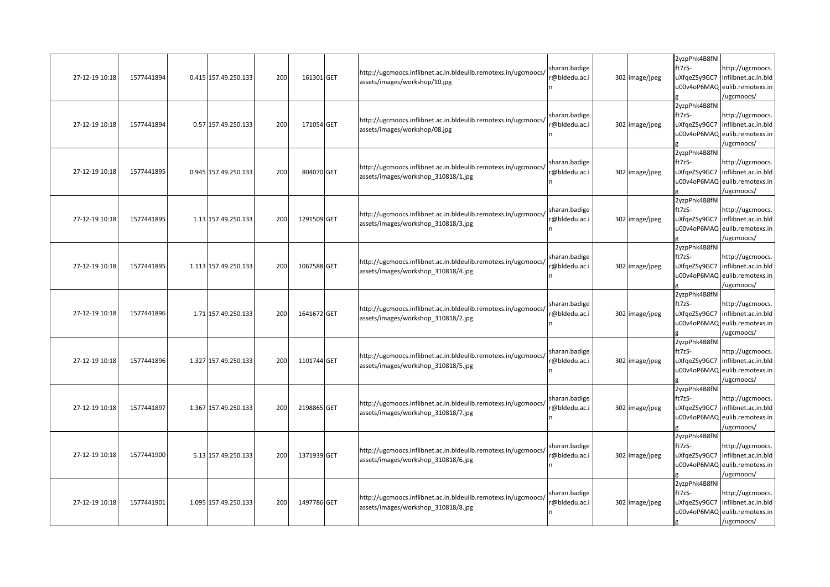| 27-12-19 10:18 | 1577441894 | 0.415 157.49.250.133 | 200 | 161301 GET  | http://ugcmoocs.inflibnet.ac.in.bldeulib.remotexs.in/ugcmoocs/<br>assets/images/workshop/10.jpg       | sharan.badige<br>@bldedu.ac.i  | 302 image/jpeg | 2yzpPhk4B8fNl<br>ft7zS-<br>uXfqeZSy9GC7<br>u00v4oP6MAQ | http://ugcmoocs.<br>inflibnet.ac.in.bld<br>eulib.remotexs.in<br>ugcmoocs/              |
|----------------|------------|----------------------|-----|-------------|-------------------------------------------------------------------------------------------------------|--------------------------------|----------------|--------------------------------------------------------|----------------------------------------------------------------------------------------|
| 27-12-19 10:18 | 1577441894 | 0.57 157.49.250.133  | 200 | 171054 GET  | http://ugcmoocs.inflibnet.ac.in.bldeulib.remotexs.in/ugcmoocs/<br>assets/images/workshop/08.jpg       | sharan.badige<br>@bldedu.ac.i  | 302 image/jpeg | 2yzpPhk4B8fNl<br>ft7zS-<br>uXfgeZSy9GC7                | http://ugcmoocs.<br>inflibnet.ac.in.bld<br>u00v4oP6MAQ eulib.remotexs.in<br>ugcmoocs/  |
| 27-12-19 10:18 | 1577441895 | 0.945 157.49.250.133 | 200 | 804070 GET  | http://ugcmoocs.inflibnet.ac.in.bldeulib.remotexs.in/ugcmoocs/<br>assets/images/workshop 310818/1.jpg | sharan.badige<br>@bldedu.ac.i  | 302 image/jpeg | 2yzpPhk4B8fNl<br>ft7zS-<br>uXfgeZSy9GC7                | http://ugcmoocs.<br>inflibnet.ac.in.bld<br>u00v4oP6MAQ eulib.remotexs.in<br>/ugcmoocs/ |
| 27-12-19 10:18 | 1577441895 | 1.13 157.49.250.133  | 200 | 1291509 GET | http://ugcmoocs.inflibnet.ac.in.bldeulib.remotexs.in/ugcmoocs/<br>assets/images/workshop_310818/3.jpg | sharan.badige<br>@bldedu.ac.i  | 302 image/jpeg | 2yzpPhk4B8fNl<br>ft7zS-<br>uXfqeZSy9GC7                | http://ugcmoocs.<br>inflibnet.ac.in.bld<br>u00v4oP6MAQ eulib.remotexs.in<br>ugcmoocs/  |
| 27-12-19 10:18 | 1577441895 | 1.113 157.49.250.133 | 200 | 1067588 GET | http://ugcmoocs.inflibnet.ac.in.bldeulib.remotexs.in/ugcmoocs/<br>assets/images/workshop 310818/4.jpg | sharan.badige<br>@bldedu.ac.i  | 302 image/jpeg | 2yzpPhk4B8fNl<br>ft7zS-<br>uXfgeZSy9GC7                | http://ugcmoocs.<br>inflibnet.ac.in.bld<br>u00v4oP6MAQ eulib.remotexs.in<br>ugcmoocs/  |
| 27-12-19 10:18 | 1577441896 | 1.71 157.49.250.133  | 200 | 1641672 GET | http://ugcmoocs.inflibnet.ac.in.bldeulib.remotexs.in/ugcmoocs/<br>assets/images/workshop 310818/2.jpg | sharan.badige<br>@bldedu.ac.i  | 302 image/jpeg | 2yzpPhk4B8fNl<br>ft7zS-<br>uXfgeZSy9GC7                | http://ugcmoocs.<br>inflibnet.ac.in.bld<br>u00v4oP6MAQ eulib.remotexs.in<br>ugcmoocs/  |
| 27-12-19 10:18 | 1577441896 | 1.327 157.49.250.133 | 200 | 1101744 GET | http://ugcmoocs.inflibnet.ac.in.bldeulib.remotexs.in/ugcmoocs/<br>assets/images/workshop_310818/5.jpg | sharan.badige<br>@bldedu.ac.i  | 302 image/jpeg | 2yzpPhk4B8fNl<br>ft7zS-<br>uXfqeZSy9GC7                | http://ugcmoocs.<br>inflibnet.ac.in.bld<br>u00v4oP6MAQ eulib.remotexs.in<br>/ugcmoocs/ |
| 27-12-19 10:18 | 1577441897 | 1.367 157.49.250.133 | 200 | 2198865 GET | http://ugcmoocs.inflibnet.ac.in.bldeulib.remotexs.in/ugcmoocs/<br>assets/images/workshop 310818/7.jpg | sharan.badige<br>r@bldedu.ac.i | 302 image/jpeg | 2yzpPhk4B8fNl<br>ft7zS-<br>uXfqeZSy9GC7<br>u00v4oP6MAQ | http://ugcmoocs.<br>inflibnet.ac.in.bld<br>eulib.remotexs.in<br>ugcmoocs/              |
| 27-12-19 10:18 | 1577441900 | 5.13 157.49.250.133  | 200 | 1371939 GET | http://ugcmoocs.inflibnet.ac.in.bldeulib.remotexs.in/ugcmoocs/<br>assets/images/workshop 310818/6.jpg | sharan.badige<br>@bldedu.ac.i  | 302 image/jpeg | 2yzpPhk4B8fNl<br>ft7zS-<br>uXfqeZSy9GC7                | http://ugcmoocs.<br>inflibnet.ac.in.bld<br>u00v4oP6MAQ eulib.remotexs.in<br>/ugcmoocs/ |
| 27-12-19 10:18 | 1577441901 | 1.095 157.49.250.133 | 200 | 1497786 GET | http://ugcmoocs.inflibnet.ac.in.bldeulib.remotexs.in/ugcmoocs/<br>assets/images/workshop 310818/8.jpg | sharan.badige<br>@bldedu.ac.i  | 302 image/jpeg | 2yzpPhk4B8fNl<br>ft7zS-<br>uXfqeZSy9GC7<br>u00v4oP6MAQ | http://ugcmoocs.<br>inflibnet.ac.in.bld<br>eulib.remotexs.in<br>/ugcmoocs/             |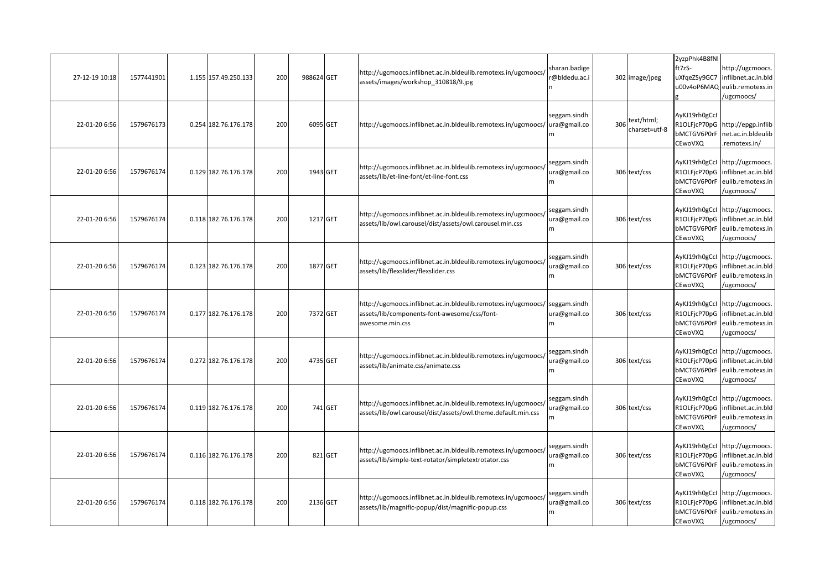| 27-12-19 10:18 | 1577441901 | 1.155 157.49.250.133 | 200 | 988624 GET |         | http://ugcmoocs.inflibnet.ac.in.bldeulib.remotexs.in/ugcmoocs/<br>assets/images/workshop_310818/9.jpg                                          | sharan.badige<br>@bldedu.ac.i      |     | 302 image/jpeg              | 2yzpPhk4B8fNl<br>ft7zS-<br>uXfgeZSy9GC7<br>u00v4oP6MAQ  | http://ugcmoocs.<br>inflibnet.ac.in.bld<br>eulib.remotexs.in<br>/ugcmoocs/                            |
|----------------|------------|----------------------|-----|------------|---------|------------------------------------------------------------------------------------------------------------------------------------------------|------------------------------------|-----|-----------------------------|---------------------------------------------------------|-------------------------------------------------------------------------------------------------------|
| 22-01-20 6:56  | 1579676173 | 0.254 182.76.176.178 | 200 | 6095 GET   |         | http://ugcmoocs.inflibnet.ac.in.bldeulib.remotexs.in/ugcmoocs/                                                                                 | seggam.sindh<br>ura@gmail.co<br>'n | 306 | text/html;<br>charset=utf-8 | AyKJ19rh0gCcl<br>R1OLFjcP70pG<br>bMCTGV6P0rF<br>CEwoVXQ | http://epgp.inflib<br>net.ac.in.bldeulib<br>.remotexs.in/                                             |
| 22-01-20 6:56  | 1579676174 | 0.129 182.76.176.178 | 200 | 1943 GET   |         | http://ugcmoocs.inflibnet.ac.in.bldeulib.remotexs.in/ugcmoocs/<br>assets/lib/et-line-font/et-line-font.css                                     | seggam.sindh<br>ura@gmail.co<br>m  |     | 306 text/css                | AyKJ19rh0gCcl<br>bMCTGV6P0rF<br>CEwoVXQ                 | http://ugcmoocs.<br>R1OLFjcP70pG inflibnet.ac.in.bld<br>eulib.remotexs.in<br>/ugcmoocs/               |
| 22-01-20 6:56  | 1579676174 | 0.118 182.76.176.178 | 200 | 1217 GET   |         | http://ugcmoocs.inflibnet.ac.in.bldeulib.remotexs.in/ugcmoocs/<br>assets/lib/owl.carousel/dist/assets/owl.carousel.min.css                     | seggam.sindh<br>ura@gmail.co<br>m  |     | 306 text/css                | bMCTGV6P0rF<br>CEwoVXQ                                  | AyKJ19rh0gCcl http://ugcmoocs.<br>R1OLFjcP70pG inflibnet.ac.in.bld<br>eulib.remotexs.in<br>/ugcmoocs/ |
| 22-01-20 6:56  | 1579676174 | 0.123 182.76.176.178 | 200 | 1877 GET   |         | http://ugcmoocs.inflibnet.ac.in.bldeulib.remotexs.in/ugcmoocs/<br>assets/lib/flexslider/flexslider.css                                         | seggam.sindh<br>ura@gmail.co<br>m  |     | 306 text/css                | bMCTGV6P0rF<br>CEwoVXQ                                  | AyKJ19rh0gCcl http://ugcmoocs.<br>R1OLFjcP70pG inflibnet.ac.in.bld<br>eulib.remotexs.in<br>/ugcmoocs/ |
| 22-01-20 6:56  | 1579676174 | 0.177 182.76.176.178 | 200 | 7372 GET   |         | http://ugcmoocs.inflibnet.ac.in.bldeulib.remotexs.in/ugcmoocs/ seggam.sindh<br>assets/lib/components-font-awesome/css/font-<br>awesome.min.css | ura@gmail.co<br>m                  |     | 306 text/css                | bMCTGV6P0rF<br>CEwoVXQ                                  | AyKJ19rh0gCcl http://ugcmoocs.<br>R1OLFjcP70pG inflibnet.ac.in.bld<br>eulib.remotexs.in<br>/ugcmoocs/ |
| 22-01-20 6:56  | 1579676174 | 0.272 182.76.176.178 | 200 | 4735 GET   |         | http://ugcmoocs.inflibnet.ac.in.bldeulib.remotexs.in/ugcmoocs/<br>assets/lib/animate.css/animate.css                                           | seggam.sindh<br>ura@gmail.co<br>m  |     | 306 text/css                | R1OLFjcP70pG<br>bMCTGV6P0rF<br>CEwoVXQ                  | AyKJ19rh0gCcl http://ugcmoocs.<br>inflibnet.ac.in.bld<br>eulib.remotexs.in<br>/ugcmoocs/              |
| 22-01-20 6:56  | 1579676174 | 0.119 182.76.176.178 | 200 |            | 741 GET | http://ugcmoocs.inflibnet.ac.in.bldeulib.remotexs.in/ugcmoocs/<br>assets/lib/owl.carousel/dist/assets/owl.theme.default.min.css                | seggam.sindh<br>ura@gmail.co<br>m  |     | 306 text/css                | bMCTGV6P0rF<br>CEwoVXQ                                  | AyKJ19rh0gCcl http://ugcmoocs.<br>R1OLFjcP70pG inflibnet.ac.in.bld<br>eulib.remotexs.in<br>/ugcmoocs/ |
| 22-01-20 6:56  | 1579676174 | 0.116 182.76.176.178 | 200 |            | 821 GET | http://ugcmoocs.inflibnet.ac.in.bldeulib.remotexs.in/ugcmoocs/<br>assets/lib/simple-text-rotator/simpletextrotator.css                         | seggam.sindh<br>ura@gmail.co<br>m  |     | 306 text/css                | bMCTGV6P0rF<br>CEwoVXQ                                  | AyKJ19rh0gCcl http://ugcmoocs.<br>R1OLFjcP70pG inflibnet.ac.in.bld<br>eulib.remotexs.in<br>/ugcmoocs/ |
| 22-01-20 6:56  | 1579676174 | 0.118 182.76.176.178 | 200 | 2136 GET   |         | http://ugcmoocs.inflibnet.ac.in.bldeulib.remotexs.in/ugcmoocs/<br>assets/lib/magnific-popup/dist/magnific-popup.css                            | seggam.sindh<br>ura@gmail.co<br>m. |     | 306 text/css                | AyKJ19rh0gCcl<br>bMCTGV6P0rF<br>CEwoVXQ                 | http://ugcmoocs.<br>R1OLFjcP70pG inflibnet.ac.in.bld<br>eulib.remotexs.in<br>/ugcmoocs/               |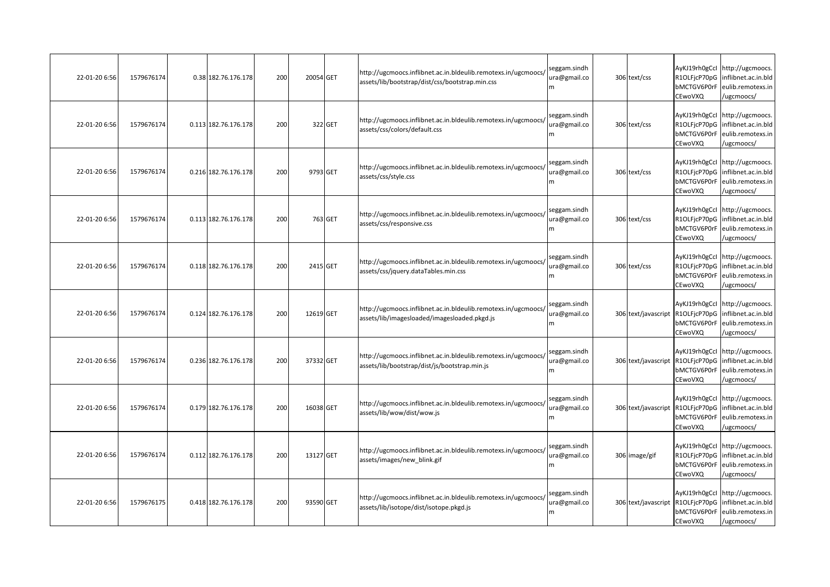| 22-01-20 6:56 | 1579676174 | 0.38 182.76.176.178  | 200 | 20054 GET |          | http://ugcmoocs.inflibnet.ac.in.bldeulib.remotexs.in/ugcmoocs/<br>assets/lib/bootstrap/dist/css/bootstrap.min.css | seggam.sindh<br>ura@gmail.co<br>m. | 306 text/css                     | R1OLFjcP70pG<br>bMCTGV6P0rF<br>CEwoVXQ | AyKJ19rh0gCcl http://ugcmoocs.<br>inflibnet.ac.in.bld<br>eulib.remotexs.in<br>/ugcmoocs/              |
|---------------|------------|----------------------|-----|-----------|----------|-------------------------------------------------------------------------------------------------------------------|------------------------------------|----------------------------------|----------------------------------------|-------------------------------------------------------------------------------------------------------|
| 22-01-20 6:56 | 1579676174 | 0.113 182.76.176.178 | 200 |           | 322 GET  | http://ugcmoocs.inflibnet.ac.in.bldeulib.remotexs.in/ugcmoocs/<br>assets/css/colors/default.css                   | seggam.sindh<br>ura@gmail.co<br>m  | 306 text/css                     | R1OLFjcP70pG<br>bMCTGV6P0rF<br>CEwoVXQ | AyKJ19rh0gCcl http://ugcmoocs.<br>inflibnet.ac.in.bld<br>eulib.remotexs.in<br>/ugcmoocs/              |
| 22-01-20 6:56 | 1579676174 | 0.216 182.76.176.178 | 200 |           | 9793 GET | http://ugcmoocs.inflibnet.ac.in.bldeulib.remotexs.in/ugcmoocs/<br>assets/css/style.css                            | seggam.sindh<br>ura@gmail.co<br>m  | 306 text/css                     | R1OLFjcP70pG<br>bMCTGV6P0rF<br>CEwoVXQ | AyKJ19rh0gCcl http://ugcmoocs.<br>inflibnet.ac.in.bld<br>eulib.remotexs.in<br>/ugcmoocs/              |
| 22-01-20 6:56 | 1579676174 | 0.113 182.76.176.178 | 200 |           | 763 GET  | http://ugcmoocs.inflibnet.ac.in.bldeulib.remotexs.in/ugcmoocs/<br>assets/css/responsive.css                       | seggam.sindh<br>ura@gmail.co<br>m  | 306 text/css                     | bMCTGV6P0rF<br>CEwoVXQ                 | AyKJ19rh0gCcl http://ugcmoocs.<br>R1OLFjcP70pG inflibnet.ac.in.bld<br>eulib.remotexs.in<br>/ugcmoocs/ |
| 22-01-20 6:56 | 1579676174 | 0.118 182.76.176.178 | 200 |           | 2415 GET | http://ugcmoocs.inflibnet.ac.in.bldeulib.remotexs.in/ugcmoocs/<br>assets/css/jquery.dataTables.min.css            | seggam.sindh<br>ura@gmail.co<br>m  | 306 text/css                     | R1OLFjcP70pG<br>bMCTGV6P0rF<br>CEwoVXQ | AyKJ19rh0gCcl http://ugcmoocs.<br>inflibnet.ac.in.bld<br>eulib.remotexs.in<br>/ugcmoocs/              |
| 22-01-20 6:56 | 1579676174 | 0.124 182.76.176.178 | 200 | 12619 GET |          | http://ugcmoocs.inflibnet.ac.in.bldeulib.remotexs.in/ugcmoocs/<br>assets/lib/imagesloaded/imagesloaded.pkgd.js    | seggam.sindh<br>ura@gmail.co       | 306 text/javascript R1OLFjcP70pG | bMCTGV6P0rF<br>CEwoVXQ                 | AyKJ19rh0gCcl http://ugcmoocs.<br>inflibnet.ac.in.bld<br>eulib.remotexs.in<br>ugcmoocs/               |
| 22-01-20 6:56 | 1579676174 | 0.236 182.76.176.178 | 200 | 37332 GET |          | http://ugcmoocs.inflibnet.ac.in.bldeulib.remotexs.in/ugcmoocs/<br>assets/lib/bootstrap/dist/js/bootstrap.min.js   | seggam.sindh<br>ura@gmail.co<br>m  | 306 text/javascript              | R1OLFjcP70pG<br>bMCTGV6P0rF<br>CEwoVXQ | AyKJ19rh0gCcl http://ugcmoocs.<br>inflibnet.ac.in.bld<br>eulib.remotexs.in<br>/ugcmoocs/              |
| 22-01-20 6:56 | 1579676174 | 0.179 182.76.176.178 | 200 | 16038 GET |          | http://ugcmoocs.inflibnet.ac.in.bldeulib.remotexs.in/ugcmoocs/<br>assets/lib/wow/dist/wow.js                      | seggam.sindh<br>ura@gmail.co<br>m  | 306 text/javascript              | R1OLFjcP70pG<br>bMCTGV6P0rF<br>CEwoVXQ | AyKJ19rh0gCcl http://ugcmoocs.<br>inflibnet.ac.in.bld<br>eulib.remotexs.in<br>/ugcmoocs/              |
| 22-01-20 6:56 | 1579676174 | 0.112 182.76.176.178 | 200 | 13127 GET |          | http://ugcmoocs.inflibnet.ac.in.bldeulib.remotexs.in/ugcmoocs/<br>assets/images/new blink.gif                     | seggam.sindh<br>ura@gmail.co<br>m  | 306 image/gif                    | R1OLFjcP70pG<br>bMCTGV6P0rF<br>CEwoVXQ | AyKJ19rh0gCcl http://ugcmoocs.<br>inflibnet.ac.in.bld<br>eulib.remotexs.in<br>/ugcmoocs/              |
| 22-01-20 6:56 | 1579676175 | 0.418 182.76.176.178 | 200 | 93590 GET |          | http://ugcmoocs.inflibnet.ac.in.bldeulib.remotexs.in/ugcmoocs/<br>assets/lib/isotope/dist/isotope.pkgd.js         | seggam.sindh<br>ura@gmail.co<br>m  | 306 text/javascript              | R1OLFjcP70pG<br>bMCTGV6P0rF<br>CEwoVXQ | AyKJ19rh0gCcl http://ugcmoocs.<br>inflibnet.ac.in.bld<br>eulib.remotexs.in<br>/ugcmoocs/              |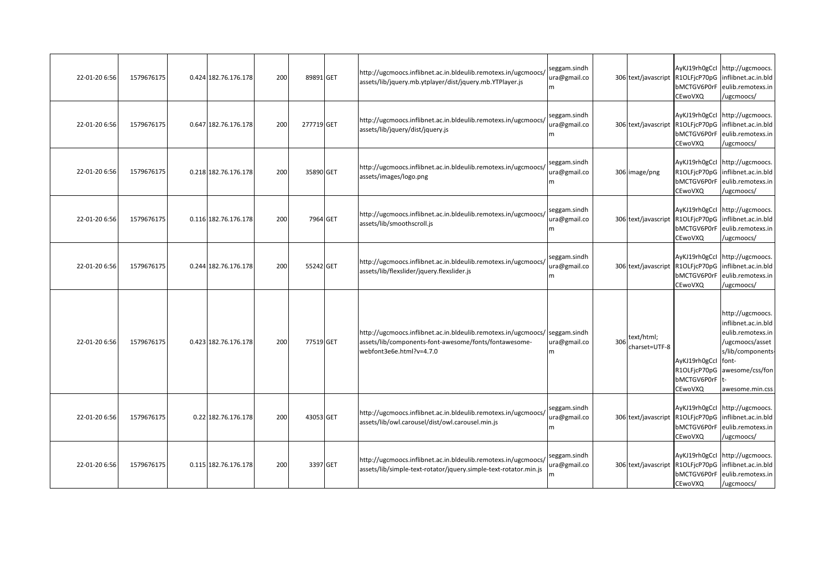| 22-01-20 6:56 | 1579676175 | 0.424 182.76.176.178 | 200 | 89891 GET  | http://ugcmoocs.inflibnet.ac.in.bldeulib.remotexs.in/ugcmoocs/<br>assets/lib/jquery.mb.ytplayer/dist/jquery.mb.YTPlayer.js                          | seggam.sindh<br>ura@gmail.co<br>m |     | 306 text/javascript R1OLFjcP70pG | bMCTGV6P0rF<br>CEwoVXQ                                        | AyKJ19rh0gCcl http://ugcmoocs.<br>inflibnet.ac.in.bld<br>eulib.remotexs.in<br>/ugcmoocs/                                                   |
|---------------|------------|----------------------|-----|------------|-----------------------------------------------------------------------------------------------------------------------------------------------------|-----------------------------------|-----|----------------------------------|---------------------------------------------------------------|--------------------------------------------------------------------------------------------------------------------------------------------|
| 22-01-20 6:56 | 1579676175 | 0.647 182.76.176.178 | 200 | 277719 GET | http://ugcmoocs.inflibnet.ac.in.bldeulib.remotexs.in/ugcmoocs/<br>assets/lib/jquery/dist/jquery.js                                                  | seggam.sindh<br>ura@gmail.co<br>m |     | 306 text/javascript              | R1OLFjcP70pG<br>bMCTGV6P0rF<br>CEwoVXQ                        | AyKJ19rh0gCcl http://ugcmoocs.<br>inflibnet.ac.in.bld<br>eulib.remotexs.in<br>/ugcmoocs/                                                   |
| 22-01-20 6:56 | 1579676175 | 0.218 182.76.176.178 | 200 | 35890 GET  | http://ugcmoocs.inflibnet.ac.in.bldeulib.remotexs.in/ugcmoocs/<br>assets/images/logo.png                                                            | seggam.sindh<br>ura@gmail.co<br>m |     | 306 image/png                    | R1OLFjcP70pG<br>bMCTGV6P0rF<br>CEwoVXQ                        | AyKJ19rh0gCcl http://ugcmoocs.<br>inflibnet.ac.in.bld<br>eulib.remotexs.in<br>/ugcmoocs/                                                   |
| 22-01-20 6:56 | 1579676175 | 0.116 182.76.176.178 | 200 | 7964 GET   | http://ugcmoocs.inflibnet.ac.in.bldeulib.remotexs.in/ugcmoocs/<br>assets/lib/smoothscroll.js                                                        | seggam.sindh<br>ura@gmail.co<br>m |     | 306 text/javascript              | R1OLFjcP70pG<br>bMCTGV6P0rF<br>CEwoVXQ                        | AyKJ19rh0gCcl http://ugcmoocs.<br>inflibnet.ac.in.bld<br>eulib.remotexs.in<br>/ugcmoocs/                                                   |
| 22-01-20 6:56 | 1579676175 | 0.244 182.76.176.178 | 200 | 55242 GET  | http://ugcmoocs.inflibnet.ac.in.bldeulib.remotexs.in/ugcmoocs/<br>assets/lib/flexslider/jquery.flexslider.js                                        | seggam.sindh<br>ura@gmail.co<br>m |     |                                  | bMCTGV6P0rF<br>CEwoVXQ                                        | AyKJ19rh0gCcl http://ugcmoocs.<br>306 text/javascript R1OLFjcP70pG inflibnet.ac.in.bld<br>eulib.remotexs.in<br>/ugcmoocs/                  |
| 22-01-20 6:56 | 1579676175 | 0.423 182.76.176.178 | 200 | 77519 GET  | http://ugcmoocs.inflibnet.ac.in.bldeulib.remotexs.in/ugcmoocs/<br>assets/lib/components-font-awesome/fonts/fontawesome-<br>webfont3e6e.html?v=4.7.0 | seggam.sindh<br>ura@gmail.co<br>m | 306 | text/html;<br>charset=UTF-8      | AyKJ19rh0gCcl font-<br>R1OLFjcP70pG<br>bMCTGV6P0rF<br>CEwoVXQ | http://ugcmoocs.<br>inflibnet.ac.in.bld<br>eulib.remotexs.in<br>/ugcmoocs/asset<br>s/lib/components-<br>awesome/css/fon<br>awesome.min.css |
| 22-01-20 6:56 | 1579676175 | 0.22 182.76.176.178  | 200 | 43053 GET  | http://ugcmoocs.inflibnet.ac.in.bldeulib.remotexs.in/ugcmoocs/<br>assets/lib/owl.carousel/dist/owl.carousel.min.js                                  | seggam.sindh<br>ura@gmail.co<br>m |     | 306 text/javascript              | bMCTGV6P0rF<br>CEwoVXQ                                        | AyKJ19rh0gCcl http://ugcmoocs.<br>R1OLFjcP70pG inflibnet.ac.in.bld<br>eulib.remotexs.in<br>/ugcmoocs/                                      |
| 22-01-20 6:56 | 1579676175 | 0.115 182.76.176.178 | 200 | 3397 GET   | http://ugcmoocs.inflibnet.ac.in.bldeulib.remotexs.in/ugcmoocs/<br>assets/lib/simple-text-rotator/jquery.simple-text-rotator.min.js                  | seggam.sindh<br>ura@gmail.co<br>m |     |                                  | bMCTGV6P0rF<br>CEwoVXQ                                        | AyKJ19rh0gCcl http://ugcmoocs.<br>306 text/javascript R1OLFjcP70pG inflibnet.ac.in.bld<br>eulib.remotexs.in<br>/ugcmoocs/                  |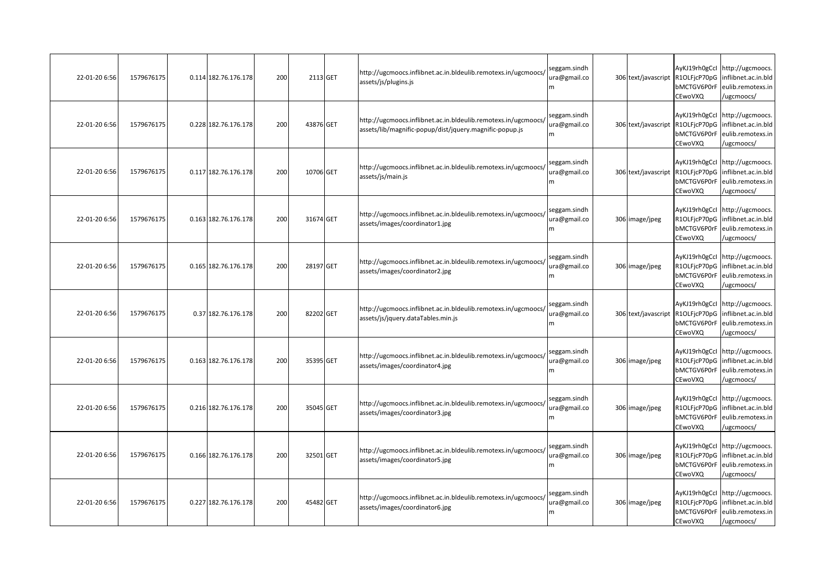| 22-01-20 6:56 | 1579676175 | 0.114 182.76.176.178 | 200 | 2113 GET  | http://ugcmoocs.inflibnet.ac.in.bldeulib.remotexs.in/ugcmoocs/<br>assets/js/plugins.js                                    | seggam.sindh<br>ura@gmail.co<br>m | 306 text/javascript              | AyKJ19rh0gCcl<br>R1OLFjcP70pG<br>bMCTGV6P0rF<br>CEwoVXQ | http://ugcmoocs.<br>inflibnet.ac.in.bld<br>eulib.remotexs.in<br>/ugcmoocs/                            |
|---------------|------------|----------------------|-----|-----------|---------------------------------------------------------------------------------------------------------------------------|-----------------------------------|----------------------------------|---------------------------------------------------------|-------------------------------------------------------------------------------------------------------|
| 22-01-20 6:56 | 1579676175 | 0.228 182.76.176.178 | 200 | 43876 GET | http://ugcmoocs.inflibnet.ac.in.bldeulib.remotexs.in/ugcmoocs/<br>assets/lib/magnific-popup/dist/jquery.magnific-popup.js | seggam.sindh<br>ura@gmail.co      | 306 text/javascript              | R1OLFjcP70pG<br>bMCTGV6P0rF<br>CEwoVXQ                  | AyKJ19rh0gCcl http://ugcmoocs.<br>inflibnet.ac.in.bld<br>eulib.remotexs.in<br>/ugcmoocs/              |
| 22-01-20 6:56 | 1579676175 | 0.117 182.76.176.178 | 200 | 10706 GET | http://ugcmoocs.inflibnet.ac.in.bldeulib.remotexs.in/ugcmoocs/<br>assets/js/main.js                                       | seggam.sindh<br>ura@gmail.co<br>m | 306 text/javascript              | R1OLFicP70pG<br>bMCTGV6P0rF<br>CEwoVXQ                  | AyKJ19rh0gCcl http://ugcmoocs.<br>inflibnet.ac.in.bld<br>eulib.remotexs.in<br>/ugcmoocs/              |
| 22-01-20 6:56 | 1579676175 | 0.163 182.76.176.178 | 200 | 31674 GET | http://ugcmoocs.inflibnet.ac.in.bldeulib.remotexs.in/ugcmoocs/<br>assets/images/coordinator1.jpg                          | seggam.sindh<br>ura@gmail.co<br>m | 306 image/jpeg                   | bMCTGV6P0rF<br>CEwoVXQ                                  | AyKJ19rh0gCcl http://ugcmoocs.<br>R1OLFjcP70pG inflibnet.ac.in.bld<br>eulib.remotexs.in<br>/ugcmoocs/ |
| 22-01-20 6:56 | 1579676175 | 0.165 182.76.176.178 | 200 | 28197 GET | http://ugcmoocs.inflibnet.ac.in.bldeulib.remotexs.in/ugcmoocs/<br>assets/images/coordinator2.jpg                          | seggam.sindh<br>ura@gmail.co<br>m | 306 image/jpeg                   | R1OLFjcP70pG<br>bMCTGV6P0rF<br>CEwoVXQ                  | AyKJ19rh0gCcl http://ugcmoocs.<br>inflibnet.ac.in.bld<br>eulib.remotexs.in<br>/ugcmoocs/              |
| 22-01-20 6:56 | 1579676175 | 0.37 182.76.176.178  | 200 | 82202 GET | http://ugcmoocs.inflibnet.ac.in.bldeulib.remotexs.in/ugcmoocs/<br>assets/js/jquery.dataTables.min.js                      | seggam.sindh<br>ura@gmail.co<br>m | 306 text/javascript R1OLFjcP70pG | bMCTGV6P0rF<br>CEwoVXQ                                  | AyKJ19rh0gCcl http://ugcmoocs.<br>inflibnet.ac.in.bld<br>eulib.remotexs.in<br>ugcmoocs/               |
| 22-01-20 6:56 | 1579676175 | 0.163 182.76.176.178 | 200 | 35395 GET | http://ugcmoocs.inflibnet.ac.in.bldeulib.remotexs.in/ugcmoocs/<br>assets/images/coordinator4.jpg                          | seggam.sindh<br>ura@gmail.co<br>m | 306 image/jpeg                   | R1OLFjcP70pG<br>bMCTGV6P0rF<br>CEwoVXQ                  | AyKJ19rh0gCcl http://ugcmoocs.<br>inflibnet.ac.in.bld<br>eulib.remotexs.in<br>/ugcmoocs/              |
| 22-01-20 6:56 | 1579676175 | 0.216 182.76.176.178 | 200 | 35045 GET | http://ugcmoocs.inflibnet.ac.in.bldeulib.remotexs.in/ugcmoocs/<br>assets/images/coordinator3.jpg                          | seggam.sindh<br>ura@gmail.co<br>m | 306 image/jpeg                   | R1OLFjcP70pG<br>bMCTGV6P0rF<br>CEwoVXQ                  | AyKJ19rh0gCcl http://ugcmoocs.<br>inflibnet.ac.in.bld<br>eulib.remotexs.in<br>/ugcmoocs/              |
| 22-01-20 6:56 | 1579676175 | 0.166 182.76.176.178 | 200 | 32501 GET | http://ugcmoocs.inflibnet.ac.in.bldeulib.remotexs.in/ugcmoocs/<br>assets/images/coordinator5.jpg                          | seggam.sindh<br>ura@gmail.co<br>m | 306 image/jpeg                   | R1OLFjcP70pG<br>bMCTGV6P0rF<br>CEwoVXQ                  | AyKJ19rh0gCcl http://ugcmoocs.<br>inflibnet.ac.in.bld<br>eulib.remotexs.in<br>/ugcmoocs/              |
| 22-01-20 6:56 | 1579676175 | 0.227 182.76.176.178 | 200 | 45482 GET | http://ugcmoocs.inflibnet.ac.in.bldeulib.remotexs.in/ugcmoocs/<br>assets/images/coordinator6.jpg                          | seggam.sindh<br>ura@gmail.co<br>m | 306 image/jpeg                   | R1OLFjcP70pG<br>bMCTGV6P0rF<br>CEwoVXQ                  | AyKJ19rh0gCcl http://ugcmoocs.<br>inflibnet.ac.in.bld<br>eulib.remotexs.in<br>/ugcmoocs/              |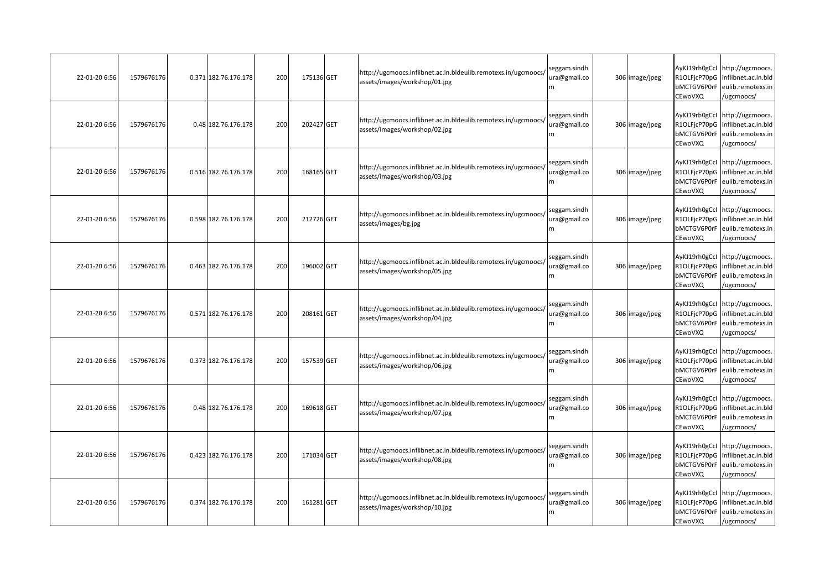| 22-01-20 6:56 | 1579676176 | 0.371 182.76.176.178 | 200 | 175136 GET | http://ugcmoocs.inflibnet.ac.in.bldeulib.remotexs.in/ugcmoocs/<br>assets/images/workshop/01.jpg | seggam.sindh<br>ura@gmail.co<br>m | 306 image/jpeg | AyKJ19rh0gCcl<br>R1OLFjcP70pG<br>bMCTGV6P0rF<br>CEwoVXQ | http://ugcmoocs.<br>inflibnet.ac.in.bld<br>eulib.remotexs.in<br>/ugcmoocs/                            |
|---------------|------------|----------------------|-----|------------|-------------------------------------------------------------------------------------------------|-----------------------------------|----------------|---------------------------------------------------------|-------------------------------------------------------------------------------------------------------|
| 22-01-20 6:56 | 1579676176 | 0.48 182.76.176.178  | 200 | 202427 GET | http://ugcmoocs.inflibnet.ac.in.bldeulib.remotexs.in/ugcmoocs/<br>assets/images/workshop/02.jpg | seggam.sindh<br>ura@gmail.co      | 306 image/jpeg | R1OLFjcP70pG<br>bMCTGV6P0rF<br>CEwoVXQ                  | AyKJ19rh0gCcl http://ugcmoocs.<br>inflibnet.ac.in.bld<br>eulib.remotexs.in<br>/ugcmoocs/              |
| 22-01-20 6:56 | 1579676176 | 0.516 182.76.176.178 | 200 | 168165 GET | http://ugcmoocs.inflibnet.ac.in.bldeulib.remotexs.in/ugcmoocs/<br>assets/images/workshop/03.jpg | seggam.sindh<br>ura@gmail.co<br>m | 306 image/jpeg | R1OLFjcP70pG<br>bMCTGV6P0rF<br>CEwoVXQ                  | AyKJ19rh0gCcl http://ugcmoocs.<br>inflibnet.ac.in.bld<br>eulib.remotexs.in<br>/ugcmoocs/              |
| 22-01-20 6:56 | 1579676176 | 0.598 182.76.176.178 | 200 | 212726 GET | http://ugcmoocs.inflibnet.ac.in.bldeulib.remotexs.in/ugcmoocs/<br>assets/images/bg.jpg          | seggam.sindh<br>ura@gmail.co<br>m | 306 image/jpeg | bMCTGV6P0rF<br>CEwoVXQ                                  | AyKJ19rh0gCcl http://ugcmoocs.<br>R1OLFjcP70pG inflibnet.ac.in.bld<br>eulib.remotexs.in<br>/ugcmoocs/ |
| 22-01-20 6:56 | 1579676176 | 0.463 182.76.176.178 | 200 | 196002 GET | http://ugcmoocs.inflibnet.ac.in.bldeulib.remotexs.in/ugcmoocs/<br>assets/images/workshop/05.jpg | seggam.sindh<br>ura@gmail.co<br>m | 306 image/jpeg | R1OLFjcP70pG<br>bMCTGV6P0rF<br>CEwoVXQ                  | AyKJ19rh0gCcl http://ugcmoocs.<br>inflibnet.ac.in.bld<br>eulib.remotexs.in<br>/ugcmoocs/              |
| 22-01-20 6:56 | 1579676176 | 0.571 182.76.176.178 | 200 | 208161 GET | http://ugcmoocs.inflibnet.ac.in.bldeulib.remotexs.in/ugcmoocs/<br>assets/images/workshop/04.jpg | seggam.sindh<br>ura@gmail.co<br>m | 306 image/jpeg | R1OLFjcP70pG<br>bMCTGV6P0rF<br>CEwoVXQ                  | AyKJ19rh0gCcl http://ugcmoocs.<br>inflibnet.ac.in.bld<br>eulib.remotexs.in<br>ugcmoocs/               |
| 22-01-20 6:56 | 1579676176 | 0.373 182.76.176.178 | 200 | 157539 GET | http://ugcmoocs.inflibnet.ac.in.bldeulib.remotexs.in/ugcmoocs/<br>assets/images/workshop/06.jpg | seggam.sindh<br>ura@gmail.co<br>m | 306 image/jpeg | R1OLFjcP70pG<br>bMCTGV6P0rF<br>CEwoVXQ                  | AyKJ19rh0gCcl http://ugcmoocs.<br>inflibnet.ac.in.bld<br>eulib.remotexs.in<br>/ugcmoocs/              |
| 22-01-20 6:56 | 1579676176 | 0.48 182.76.176.178  | 200 | 169618 GET | http://ugcmoocs.inflibnet.ac.in.bldeulib.remotexs.in/ugcmoocs/<br>assets/images/workshop/07.jpg | seggam.sindh<br>ura@gmail.co<br>m | 306 image/jpeg | bMCTGV6P0rF<br>CEwoVXQ                                  | AyKJ19rh0gCcl http://ugcmoocs.<br>R1OLFjcP70pG inflibnet.ac.in.bld<br>eulib.remotexs.in<br>/ugcmoocs/ |
| 22-01-20 6:56 | 1579676176 | 0.423 182.76.176.178 | 200 | 171034 GET | http://ugcmoocs.inflibnet.ac.in.bldeulib.remotexs.in/ugcmoocs/<br>assets/images/workshop/08.jpg | seggam.sindh<br>ura@gmail.co<br>m | 306 image/jpeg | R1OLFjcP70pG<br>bMCTGV6P0rF<br>CEwoVXQ                  | AyKJ19rh0gCcl http://ugcmoocs.<br>inflibnet.ac.in.bld<br>eulib.remotexs.in<br>/ugcmoocs/              |
| 22-01-20 6:56 | 1579676176 | 0.374 182.76.176.178 | 200 | 161281 GET | http://ugcmoocs.inflibnet.ac.in.bldeulib.remotexs.in/ugcmoocs/<br>assets/images/workshop/10.jpg | seggam.sindh<br>ura@gmail.co<br>m | 306 image/jpeg | R1OLFjcP70pG<br>bMCTGV6P0rF<br>CEwoVXQ                  | AyKJ19rh0gCcl http://ugcmoocs.<br>inflibnet.ac.in.bld<br>eulib.remotexs.in<br>/ugcmoocs/              |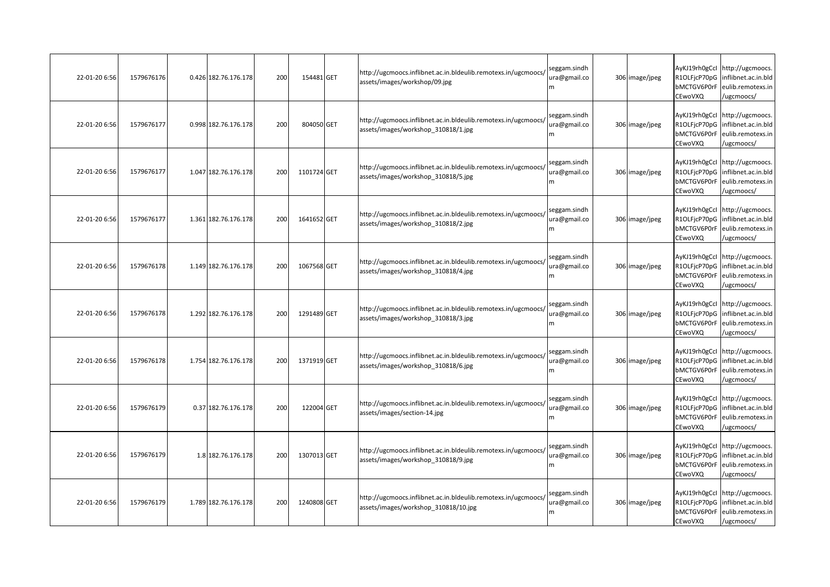| 22-01-20 6:56 | 1579676176 | 0.426 182.76.176.178 | 200 | 154481 GET  | http://ugcmoocs.inflibnet.ac.in.bldeulib.remotexs.in/ugcmoocs/<br>assets/images/workshop/09.jpg        | seggam.sindh<br>ura@gmail.co<br>m | 306 image/jpeg | AyKJ19rh0gCcl<br>R1OLFjcP70pG<br>bMCTGV6P0rF<br>CEwoVXQ | http://ugcmoocs.<br>inflibnet.ac.in.bld<br>eulib.remotexs.in<br>/ugcmoocs/                            |
|---------------|------------|----------------------|-----|-------------|--------------------------------------------------------------------------------------------------------|-----------------------------------|----------------|---------------------------------------------------------|-------------------------------------------------------------------------------------------------------|
| 22-01-20 6:56 | 1579676177 | 0.998 182.76.176.178 | 200 | 804050 GET  | http://ugcmoocs.inflibnet.ac.in.bldeulib.remotexs.in/ugcmoocs/<br>assets/images/workshop 310818/1.jpg  | seggam.sindh<br>ura@gmail.co      | 306 image/jpeg | R1OLFjcP70pG<br>bMCTGV6P0rF<br>CEwoVXQ                  | AyKJ19rh0gCcl http://ugcmoocs.<br>inflibnet.ac.in.bld<br>eulib.remotexs.in<br>/ugcmoocs/              |
| 22-01-20 6:56 | 1579676177 | 1.047 182.76.176.178 | 200 | 1101724 GET | http://ugcmoocs.inflibnet.ac.in.bldeulib.remotexs.in/ugcmoocs/<br>assets/images/workshop 310818/5.jpg  | seggam.sindh<br>ura@gmail.co<br>m | 306 image/jpeg | R1OLFjcP70pG<br>bMCTGV6P0rF<br>CEwoVXQ                  | AyKJ19rh0gCcl http://ugcmoocs.<br>inflibnet.ac.in.bld<br>eulib.remotexs.in<br>/ugcmoocs/              |
| 22-01-20 6:56 | 1579676177 | 1.361 182.76.176.178 | 200 | 1641652 GET | http://ugcmoocs.inflibnet.ac.in.bldeulib.remotexs.in/ugcmoocs/<br>assets/images/workshop_310818/2.jpg  | seggam.sindh<br>ura@gmail.co<br>m | 306 image/jpeg | bMCTGV6P0rF<br>CEwoVXQ                                  | AyKJ19rh0gCcl http://ugcmoocs.<br>R1OLFjcP70pG inflibnet.ac.in.bld<br>eulib.remotexs.in<br>/ugcmoocs/ |
| 22-01-20 6:56 | 1579676178 | 1.149 182.76.176.178 | 200 | 1067568 GET | http://ugcmoocs.inflibnet.ac.in.bldeulib.remotexs.in/ugcmoocs/<br>assets/images/workshop 310818/4.jpg  | seggam.sindh<br>ura@gmail.co<br>m | 306 image/jpeg | R1OLFjcP70pG<br>bMCTGV6P0rF<br>CEwoVXQ                  | AyKJ19rh0gCcl http://ugcmoocs.<br>inflibnet.ac.in.bld<br>eulib.remotexs.in<br>/ugcmoocs/              |
| 22-01-20 6:56 | 1579676178 | 1.292 182.76.176.178 | 200 | 1291489 GET | http://ugcmoocs.inflibnet.ac.in.bldeulib.remotexs.in/ugcmoocs/<br>assets/images/workshop 310818/3.jpg  | seggam.sindh<br>ura@gmail.co      | 306 image/jpeg | R1OLFjcP70pG<br>bMCTGV6P0rF<br>CEwoVXQ                  | AyKJ19rh0gCcl http://ugcmoocs.<br>inflibnet.ac.in.bld<br>eulib.remotexs.in<br>ugcmoocs/               |
| 22-01-20 6:56 | 1579676178 | 1.754 182.76.176.178 | 200 | 1371919 GET | http://ugcmoocs.inflibnet.ac.in.bldeulib.remotexs.in/ugcmoocs/<br>assets/images/workshop 310818/6.jpg  | seggam.sindh<br>ura@gmail.co<br>m | 306 image/jpeg | R1OLFjcP70pG<br>bMCTGV6P0rF<br>CEwoVXQ                  | AyKJ19rh0gCcl http://ugcmoocs.<br>inflibnet.ac.in.bld<br>eulib.remotexs.in<br>/ugcmoocs/              |
| 22-01-20 6:56 | 1579676179 | 0.37 182.76.176.178  | 200 | 122004 GET  | http://ugcmoocs.inflibnet.ac.in.bldeulib.remotexs.in/ugcmoocs/<br>assets/images/section-14.jpg         | seggam.sindh<br>ura@gmail.co<br>m | 306 image/jpeg | R1OLFjcP70pG<br>bMCTGV6P0rF<br>CEwoVXQ                  | AyKJ19rh0gCcl http://ugcmoocs.<br>inflibnet.ac.in.bld<br>eulib.remotexs.in<br>/ugcmoocs/              |
| 22-01-20 6:56 | 1579676179 | 1.8 182.76.176.178   | 200 | 1307013 GET | http://ugcmoocs.inflibnet.ac.in.bldeulib.remotexs.in/ugcmoocs/<br>assets/images/workshop 310818/9.jpg  | seggam.sindh<br>ura@gmail.co<br>m | 306 image/jpeg | R1OLFjcP70pG<br>bMCTGV6P0rF<br>CEwoVXQ                  | AyKJ19rh0gCcl http://ugcmoocs.<br>inflibnet.ac.in.bld<br>eulib.remotexs.in<br>/ugcmoocs/              |
| 22-01-20 6:56 | 1579676179 | 1.789 182.76.176.178 | 200 | 1240808 GET | http://ugcmoocs.inflibnet.ac.in.bldeulib.remotexs.in/ugcmoocs/<br>assets/images/workshop_310818/10.jpg | seggam.sindh<br>ura@gmail.co<br>m | 306 image/jpeg | R1OLFjcP70pG<br>bMCTGV6P0rF<br>CEwoVXQ                  | AyKJ19rh0gCcl http://ugcmoocs.<br>inflibnet.ac.in.bld<br>eulib.remotexs.in<br>/ugcmoocs/              |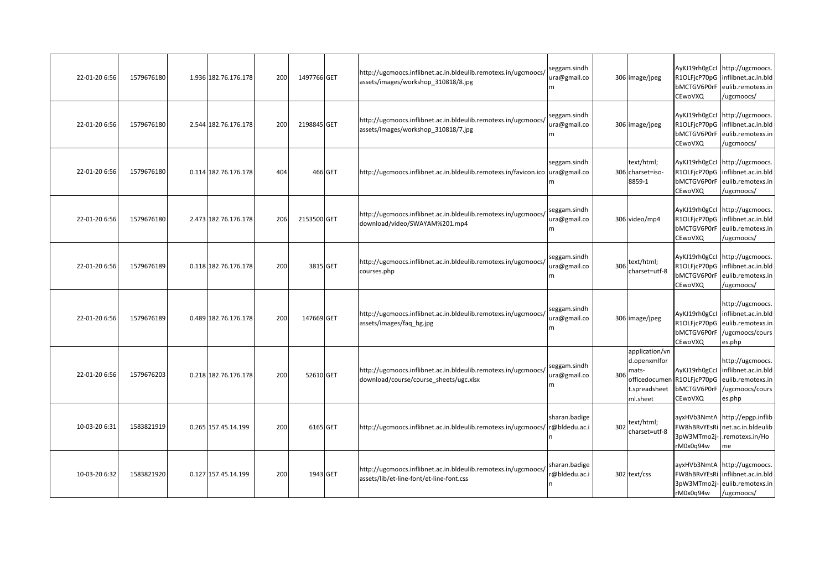| 22-01-20 6:56 | 1579676180 | 1.936 182.76.176.178 | 200 | 1497766 GET |         | http://ugcmoocs.inflibnet.ac.in.bldeulib.remotexs.in/ugcmoocs/<br>assets/images/workshop 310818/8.jpg      | seggam.sindh<br>ura@gmail.co<br>m |     | 306 image/jpeg                                                       | R1OLFjcP70pG<br>bMCTGV6P0rF<br>CEwoVXQ                                | AyKJ19rh0gCcl http://ugcmoocs.<br>inflibnet.ac.in.bld<br>eulib.remotexs.in<br>/ugcmoocs/                          |
|---------------|------------|----------------------|-----|-------------|---------|------------------------------------------------------------------------------------------------------------|-----------------------------------|-----|----------------------------------------------------------------------|-----------------------------------------------------------------------|-------------------------------------------------------------------------------------------------------------------|
| 22-01-20 6:56 | 1579676180 | 2.544 182.76.176.178 | 200 | 2198845 GET |         | http://ugcmoocs.inflibnet.ac.in.bldeulib.remotexs.in/ugcmoocs/<br>assets/images/workshop_310818/7.jpg      | seggam.sindh<br>ura@gmail.co<br>m |     | 306 image/jpeg                                                       | bMCTGV6P0rF<br>CEwoVXQ                                                | AyKJ19rh0gCcl http://ugcmoocs.<br>R1OLFjcP70pG inflibnet.ac.in.bld<br>eulib.remotexs.in<br>/ugcmoocs/             |
| 22-01-20 6:56 | 1579676180 | 0.114 182.76.176.178 | 404 |             | 466 GET | http://ugcmoocs.inflibnet.ac.in.bldeulib.remotexs.in/favicon.ico                                           | seggam.sindh<br>ura@gmail.co<br>m |     | text/html;<br>306 charset=iso-<br>8859-1                             | CEwoVXQ                                                               | AyKJ19rh0gCcl http://ugcmoocs.<br>R1OLFicP70pG inflibnet.ac.in.bld<br>bMCTGV6P0rF eulib.remotexs.in<br>/ugcmoocs/ |
| 22-01-20 6:56 | 1579676180 | 2.473 182.76.176.178 | 206 | 2153500 GET |         | http://ugcmoocs.inflibnet.ac.in.bldeulib.remotexs.in/ugcmoocs/<br>download/video/SWAYAM%201.mp4            | seggam.sindh<br>ura@gmail.co<br>m |     | 306 video/mp4                                                        | bMCTGV6P0rF<br>CEwoVXQ                                                | AyKJ19rh0gCcl http://ugcmoocs.<br>R1OLFjcP70pG inflibnet.ac.in.bld<br>eulib.remotexs.in<br>/ugcmoocs/             |
| 22-01-20 6:56 | 1579676189 | 0.118 182.76.176.178 | 200 | 3815 GET    |         | http://ugcmoocs.inflibnet.ac.in.bldeulib.remotexs.in/ugcmoocs/<br>courses.php                              | seggam.sindh<br>ura@gmail.co<br>m | 306 | text/html;<br>charset=utf-8                                          | bMCTGV6P0rF<br>CEwoVXQ                                                | AyKJ19rh0gCcl http://ugcmoocs.<br>R1OLFjcP70pG inflibnet.ac.in.bld<br>eulib.remotexs.in<br>/ugcmoocs/             |
| 22-01-20 6:56 | 1579676189 | 0.489 182.76.176.178 | 200 | 147669 GET  |         | http://ugcmoocs.inflibnet.ac.in.bldeulib.remotexs.in/ugcmoocs/<br>assets/images/faq bg.jpg                 | seggam.sindh<br>ura@gmail.co<br>m |     | 306 image/jpeg                                                       | R1OLFjcP70pG<br>bMCTGV6P0rF<br>CEwoVXQ                                | http://ugcmoocs.<br>AyKJ19rh0gCcl inflibnet.ac.in.bld<br>eulib.remotexs.in<br>/ugcmoocs/cours<br>es.php           |
| 22-01-20 6:56 | 1579676203 | 0.218 182.76.176.178 | 200 | 52610 GET   |         | http://ugcmoocs.inflibnet.ac.in.bldeulib.remotexs.in/ugcmoocs/<br>download/course/course sheets/ugc.xlsx   | seggam.sindh<br>ura@gmail.co<br>m | 306 | application/vn<br>d.openxmlfor<br>mats-<br>t.spreadsheet<br>ml.sheet | AyKJ19rh0gCcl<br>officedocumen R1OLFjcP70pG<br>bMCTGV6P0rF<br>CEwoVXQ | http://ugcmoocs.<br>inflibnet.ac.in.bld<br>eulib.remotexs.in<br>/ugcmoocs/cours<br>es.php                         |
| 10-03-20 6:31 | 1583821919 | 0.265 157.45.14.199  | 200 | 6165 GET    |         | http://ugcmoocs.inflibnet.ac.in.bldeulib.remotexs.in/ugcmoocs/                                             | sharan.badige<br>r@bldedu.ac.i    | 302 | text/html;<br>charset=utf-8                                          | FW8hBRvYEsRi<br>3pW3MTmo2j-<br>rM0x0q94w                              | ayxHVb3NmtA http://epgp.inflib<br>net.ac.in.bldeulib<br>remotexs.in/Ho<br>me                                      |
| 10-03-20 6:32 | 1583821920 | 0.127 157.45.14.199  | 200 | 1943 GET    |         | http://ugcmoocs.inflibnet.ac.in.bldeulib.remotexs.in/ugcmoocs/<br>assets/lib/et-line-font/et-line-font.css | sharan.badige<br>@bldedu.ac.i     |     | 302 text/css                                                         | FW8hBRvYEsRi<br>3pW3MTmo2j-<br>rM0x0q94w                              | ayxHVb3NmtA http://ugcmoocs.<br>inflibnet.ac.in.bld<br>eulib.remotexs.in<br>/ugcmoocs/                            |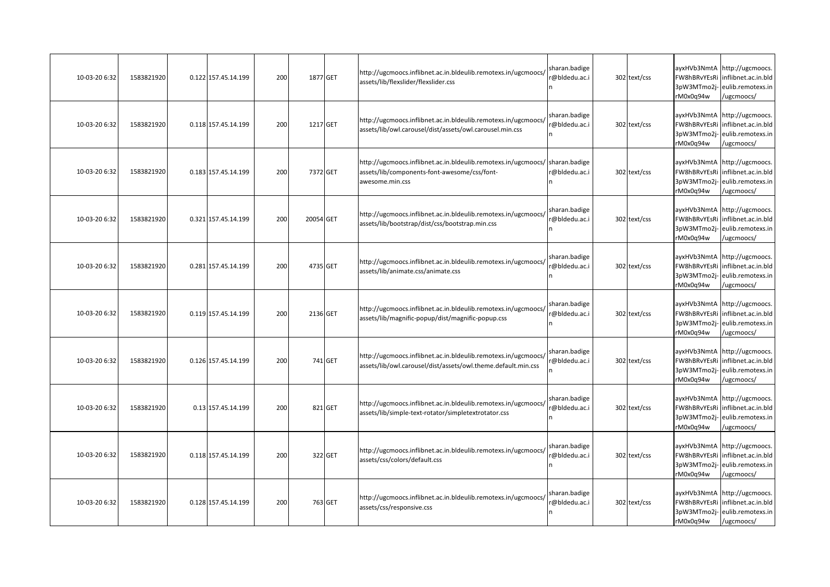| 10-03-20 6:32 | 1583821920 | 0.122 157.45.14.199 | 200 |           | 1877 GET | http://ugcmoocs.inflibnet.ac.in.bldeulib.remotexs.in/ugcmoocs/<br>assets/lib/flexslider/flexslider.css                                          | sharan.badige<br>@bldedu.ac.i | 302 text/css | ayxHVb3NmtA<br>FW8hBRvYEsRi<br>3pW3MTmo2j-<br>rM0x0q94w | http://ugcmoocs.<br>inflibnet.ac.in.bld<br>eulib.remotexs.in<br>ugcmoocs/              |
|---------------|------------|---------------------|-----|-----------|----------|-------------------------------------------------------------------------------------------------------------------------------------------------|-------------------------------|--------------|---------------------------------------------------------|----------------------------------------------------------------------------------------|
| 10-03-20 6:32 | 1583821920 | 0.118 157.45.14.199 | 200 |           | 1217 GET | http://ugcmoocs.inflibnet.ac.in.bldeulib.remotexs.in/ugcmoocs/<br>assets/lib/owl.carousel/dist/assets/owl.carousel.min.css                      | sharan.badige<br>@bldedu.ac.i | 302 text/css | FW8hBRvYEsRi<br>3pW3MTmo2j-<br>rM0x0q94w                | ayxHVb3NmtA http://ugcmoocs.<br>inflibnet.ac.in.bld<br>eulib.remotexs.in<br>ugcmoocs/  |
| 10-03-20 6:32 | 1583821920 | 0.183 157.45.14.199 | 200 |           | 7372 GET | http://ugcmoocs.inflibnet.ac.in.bldeulib.remotexs.in/ugcmoocs/ sharan.badige<br>assets/lib/components-font-awesome/css/font-<br>awesome.min.css | @bldedu.ac.i                  | 302 text/css | ayxHVb3NmtA<br>FW8hBRvYEsRi<br>3pW3MTmo2j-<br>rM0x0q94w | http://ugcmoocs.<br>inflibnet.ac.in.bld<br>eulib.remotexs.in<br>/ugcmoocs/             |
| 10-03-20 6:32 | 1583821920 | 0.321 157.45.14.199 | 200 | 20054 GET |          | http://ugcmoocs.inflibnet.ac.in.bldeulib.remotexs.in/ugcmoocs/<br>assets/lib/bootstrap/dist/css/bootstrap.min.css                               | sharan.badige<br>@bldedu.ac.i | 302 text/css | FW8hBRvYEsRi<br>3pW3MTmo2j-<br>rM0x0q94w                | ayxHVb3NmtA http://ugcmoocs.<br>inflibnet.ac.in.bld<br>eulib.remotexs.in<br>ugcmoocs/  |
| 10-03-20 6:32 | 1583821920 | 0.281 157.45.14.199 | 200 |           | 4735 GET | http://ugcmoocs.inflibnet.ac.in.bldeulib.remotexs.in/ugcmoocs/<br>assets/lib/animate.css/animate.css                                            | sharan.badige<br>@bldedu.ac.i | 302 text/css | ayxHVb3NmtA<br>FW8hBRvYEsRi<br>3pW3MTmo2j-<br>rM0x0q94w | http://ugcmoocs.<br>inflibnet.ac.in.bld<br>eulib.remotexs.in<br>/ugcmoocs/             |
| 10-03-20 6:32 | 1583821920 | 0.119 157.45.14.199 | 200 |           | 2136 GET | http://ugcmoocs.inflibnet.ac.in.bldeulib.remotexs.in/ugcmoocs/<br>assets/lib/magnific-popup/dist/magnific-popup.css                             | sharan.badige<br>@bldedu.ac.i | 302 text/css | FW8hBRvYEsRi<br>3pW3MTmo2j-<br>rM0x0q94w                | ayxHVb3NmtA http://ugcmoocs.<br>inflibnet.ac.in.bld<br>eulib.remotexs.in<br>/ugcmoocs/ |
| 10-03-20 6:32 | 1583821920 | 0.126 157.45.14.199 | 200 |           | 741 GET  | http://ugcmoocs.inflibnet.ac.in.bldeulib.remotexs.in/ugcmoocs/<br>assets/lib/owl.carousel/dist/assets/owl.theme.default.min.css                 | sharan.badige<br>@bldedu.ac.i | 302 text/css | FW8hBRvYEsRi<br>3pW3MTmo2j-<br>rM0x0q94w                | ayxHVb3NmtA http://ugcmoocs.<br>inflibnet.ac.in.bld<br>eulib.remotexs.in<br>/ugcmoocs/ |
| 10-03-20 6:32 | 1583821920 | 0.13 157.45.14.199  | 200 |           | 821 GET  | http://ugcmoocs.inflibnet.ac.in.bldeulib.remotexs.in/ugcmoocs/<br>assets/lib/simple-text-rotator/simpletextrotator.css                          | sharan.badige<br>@bldedu.ac.i | 302 text/css | FW8hBRvYEsRi<br>3pW3MTmo2j-<br>rM0x0q94w                | ayxHVb3NmtA http://ugcmoocs.<br>inflibnet.ac.in.bld<br>eulib.remotexs.in<br>ugcmoocs/  |
| 10-03-20 6:32 | 1583821920 | 0.118 157.45.14.199 | 200 |           | 322 GET  | http://ugcmoocs.inflibnet.ac.in.bldeulib.remotexs.in/ugcmoocs/<br>assets/css/colors/default.css                                                 | sharan.badige<br>@bldedu.ac.i | 302 text/css | FW8hBRvYEsRi<br>3pW3MTmo2j-<br>rM0x0q94w                | ayxHVb3NmtA http://ugcmoocs.<br>inflibnet.ac.in.bld<br>eulib.remotexs.in<br>/ugcmoocs/ |
| 10-03-20 6:32 | 1583821920 | 0.128 157.45.14.199 | 200 |           | 763 GET  | http://ugcmoocs.inflibnet.ac.in.bldeulib.remotexs.in/ugcmoocs/<br>assets/css/responsive.css                                                     | sharan.badige<br>@bldedu.ac.i | 302 text/css | FW8hBRvYEsRi<br>3pW3MTmo2j-<br>rM0x0q94w                | ayxHVb3NmtA http://ugcmoocs.<br>inflibnet.ac.in.bld<br>eulib.remotexs.in<br>/ugcmoocs/ |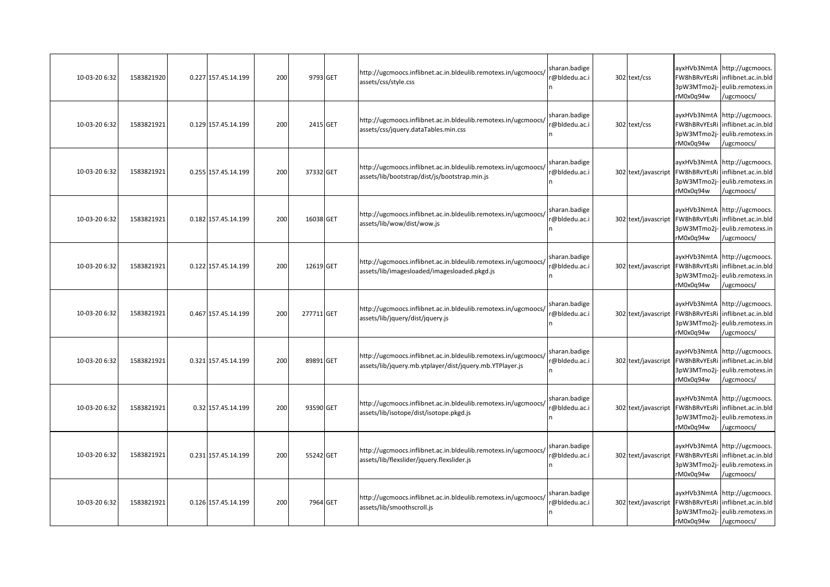| 10-03-20 6:32 | 1583821920 | 0.227 157.45.14.199 | 200 | 9793 GET   | http://ugcmoocs.inflibnet.ac.in.bldeulib.remotexs.in/ugcmoocs/<br>assets/css/style.css                                     | sharan.badige<br>@bldedu.ac.i  | 302 text/css        | ayxHVb3NmtA<br>FW8hBRvYEsRi<br>3pW3MTmo2i-<br>rM0x0q94w | http://ugcmoocs.<br>inflibnet.ac.in.bld<br>eulib.remotexs.in<br>/ugcmoocs/             |
|---------------|------------|---------------------|-----|------------|----------------------------------------------------------------------------------------------------------------------------|--------------------------------|---------------------|---------------------------------------------------------|----------------------------------------------------------------------------------------|
| 10-03-20 6:32 | 1583821921 | 0.129 157.45.14.199 | 200 | 2415 GET   | http://ugcmoocs.inflibnet.ac.in.bldeulib.remotexs.in/ugcmoocs/<br>assets/css/jquery.dataTables.min.css                     | sharan.badige<br>r@bldedu.ac.i | 302 text/css        | FW8hBRvYEsRi<br>3pW3MTmo2j-<br>rM0x0q94w                | ayxHVb3NmtA http://ugcmoocs.<br>inflibnet.ac.in.bld<br>eulib.remotexs.in<br>ugcmoocs/  |
| 10-03-20 6:32 | 1583821921 | 0.255 157.45.14.199 | 200 | 37332 GET  | http://ugcmoocs.inflibnet.ac.in.bldeulib.remotexs.in/ugcmoocs/<br>assets/lib/bootstrap/dist/js/bootstrap.min.js            | sharan.badige<br>@bldedu.ac.i  | 302 text/javascript | FW8hBRvYEsRi<br>3pW3MTmo2j-<br>rM0x0q94w                | ayxHVb3NmtA http://ugcmoocs.<br>inflibnet.ac.in.bld<br>eulib.remotexs.in<br>/ugcmoocs/ |
| 10-03-20 6:32 | 1583821921 | 0.182 157.45.14.199 | 200 | 16038 GET  | http://ugcmoocs.inflibnet.ac.in.bldeulib.remotexs.in/ugcmoocs/<br>assets/lib/wow/dist/wow.js                               | sharan.badige<br>@bldedu.ac.i  | 302 text/javascript | FW8hBRvYEsRi<br>3pW3MTmo2j-<br>rM0x0q94w                | ayxHVb3NmtA http://ugcmoocs.<br>inflibnet.ac.in.bld<br>eulib.remotexs.in<br>/ugcmoocs/ |
| 10-03-20 6:32 | 1583821921 | 0.122 157.45.14.199 | 200 | 12619 GET  | http://ugcmoocs.inflibnet.ac.in.bldeulib.remotexs.in/ugcmoocs/<br>assets/lib/imagesloaded/imagesloaded.pkgd.js             | sharan.badige<br>@bldedu.ac.i  | 302 text/javascript | ayxHVb3NmtA<br>FW8hBRvYEsRi<br>3pW3MTmo2j-<br>rM0x0q94w | http://ugcmoocs.<br>inflibnet.ac.in.bld<br>eulib.remotexs.in<br>ugcmoocs/              |
| 10-03-20 6:32 | 1583821921 | 0.467 157.45.14.199 | 200 | 277711 GET | http://ugcmoocs.inflibnet.ac.in.bldeulib.remotexs.in/ugcmoocs/<br>assets/lib/jquery/dist/jquery.js                         | sharan.badige<br>r@bldedu.ac.i | 302 text/javascript | FW8hBRvYEsRi<br>3pW3MTmo2j-<br>rM0x0q94w                | ayxHVb3NmtA http://ugcmoocs.<br>inflibnet.ac.in.bld<br>eulib.remotexs.in<br>ugcmoocs/  |
| 10-03-20 6:32 | 1583821921 | 0.321 157.45.14.199 | 200 | 89891 GET  | http://ugcmoocs.inflibnet.ac.in.bldeulib.remotexs.in/ugcmoocs/<br>assets/lib/jquery.mb.ytplayer/dist/jquery.mb.YTPlayer.js | sharan.badige<br>@bldedu.ac.i  | 302 text/javascript | FW8hBRvYEsRi<br>3pW3MTmo2j-<br>rM0x0q94w                | ayxHVb3NmtA http://ugcmoocs.<br>inflibnet.ac.in.bld<br>eulib.remotexs.in<br>/ugcmoocs/ |
| 10-03-20 6:32 | 1583821921 | 0.32 157.45.14.199  | 200 | 93590 GET  | http://ugcmoocs.inflibnet.ac.in.bldeulib.remotexs.in/ugcmoocs/<br>assets/lib/isotope/dist/isotope.pkgd.js                  | sharan.badige<br>@bldedu.ac.i  | 302 text/javascript | FW8hBRvYEsRi<br>3pW3MTmo2j-<br>rM0x0q94w                | ayxHVb3NmtA http://ugcmoocs.<br>inflibnet.ac.in.bld<br>eulib.remotexs.in<br>ugcmoocs/  |
| 10-03-20 6:32 | 1583821921 | 0.231 157.45.14.199 | 200 | 55242 GET  | http://ugcmoocs.inflibnet.ac.in.bldeulib.remotexs.in/ugcmoocs/<br>assets/lib/flexslider/jquery.flexslider.js               | sharan.badige<br>@bldedu.ac.i  | 302 text/javascript | FW8hBRvYEsRi<br>3pW3MTmo2j-<br>rM0x0q94w                | ayxHVb3NmtA http://ugcmoocs.<br>inflibnet.ac.in.bld<br>eulib.remotexs.in<br>/ugcmoocs/ |
| 10-03-20 6:32 | 1583821921 | 0.126 157.45.14.199 | 200 | 7964 GET   | http://ugcmoocs.inflibnet.ac.in.bldeulib.remotexs.in/ugcmoocs/<br>assets/lib/smoothscroll.js                               | sharan.badige<br>r@bldedu.ac.i | 302 text/javascript | ayxHVb3NmtA<br>FW8hBRvYEsRi<br>3pW3MTmo2j-<br>rM0x0q94w | http://ugcmoocs.<br>inflibnet.ac.in.bld<br>eulib.remotexs.in<br>/ugcmoocs/             |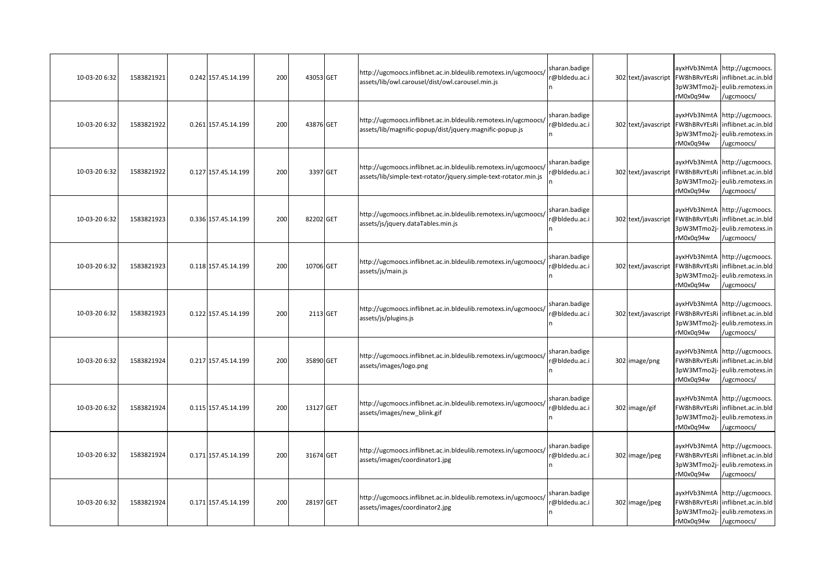| 10-03-20 6:32 | 1583821921 | 0.242 157.45.14.199 | 200 | 43053 GET |          | http://ugcmoocs.inflibnet.ac.in.bldeulib.remotexs.in/ugcmoocs/<br>assets/lib/owl.carousel/dist/owl.carousel.min.js                 | sharan.badige<br>@bldedu.ac.i  | 302 text/javascript | ayxHVb3NmtA<br>FW8hBRvYEsRi<br>3pW3MTmo2i-<br>rM0x0q94w | http://ugcmoocs.<br>inflibnet.ac.in.bld<br>eulib.remotexs.in<br>/ugcmoocs/                                                              |
|---------------|------------|---------------------|-----|-----------|----------|------------------------------------------------------------------------------------------------------------------------------------|--------------------------------|---------------------|---------------------------------------------------------|-----------------------------------------------------------------------------------------------------------------------------------------|
| 10-03-20 6:32 | 1583821922 | 0.261 157.45.14.199 | 200 | 43876 GET |          | http://ugcmoocs.inflibnet.ac.in.bldeulib.remotexs.in/ugcmoocs/<br>assets/lib/magnific-popup/dist/jquery.magnific-popup.js          | sharan.badige<br>r@bldedu.ac.i | 302 text/javascript | FW8hBRvYEsRi<br>3pW3MTmo2j-<br>rM0x0q94w                | ayxHVb3NmtA http://ugcmoocs.<br>inflibnet.ac.in.bld<br>eulib.remotexs.in<br>/ugcmoocs/                                                  |
| 10-03-20 6:32 | 1583821922 | 0.127 157.45.14.199 | 200 |           | 3397 GET | http://ugcmoocs.inflibnet.ac.in.bldeulib.remotexs.in/ugcmoocs/<br>assets/lib/simple-text-rotator/jquery.simple-text-rotator.min.js | sharan.badige<br>@bldedu.ac.i  | 302 text/javascript | FW8hBRvYEsRi<br>3pW3MTmo2j-<br>rM0x0q94w                | ayxHVb3NmtA http://ugcmoocs.<br>inflibnet.ac.in.bld<br>eulib.remotexs.in<br>/ugcmoocs/                                                  |
| 10-03-20 6:32 | 1583821923 | 0.336 157.45.14.199 | 200 | 82202 GET |          | http://ugcmoocs.inflibnet.ac.in.bldeulib.remotexs.in/ugcmoocs/<br>assets/js/jquery.dataTables.min.js                               | sharan.badige<br>r@bldedu.ac.i |                     | rM0x0q94w                                               | ayxHVb3NmtA http://ugcmoocs.<br>302 text/javascript FW8hBRvYEsRi inflibnet.ac.in.bld<br>3pW3MTmo2j- eulib.remotexs.in<br>/ugcmoocs/     |
| 10-03-20 6:32 | 1583821923 | 0.118 157.45.14.199 | 200 | 10706 GET |          | http://ugcmoocs.inflibnet.ac.in.bldeulib.remotexs.in/ugcmoocs/<br>assets/js/main.js                                                | sharan.badige<br>@bldedu.ac.i  |                     | 3pW3MTmo2j-<br>rM0x0q94w                                | ayxHVb3NmtA http://ugcmoocs.<br>302 text/javascript FW8hBRvYEsRi inflibnet.ac.in.bld<br>eulib.remotexs.in<br>/ugcmoocs/                 |
| 10-03-20 6:32 | 1583821923 | 0.122 157.45.14.199 | 200 |           | 2113 GET | http://ugcmoocs.inflibnet.ac.in.bldeulib.remotexs.in/ugcmoocs/<br>assets/js/plugins.js                                             | sharan.badige<br>r@bldedu.ac.i |                     | rM0x0q94w                                               | ayxHVb3NmtA http://ugcmoocs.<br>302 text/javascript   FW8hBRvYEsRi   inflibnet.ac.in.bld<br>3pW3MTmo2j- eulib.remotexs.in<br>/ugcmoocs/ |
| 10-03-20 6:32 | 1583821924 | 0.217 157.45.14.199 | 200 | 35890 GET |          | http://ugcmoocs.inflibnet.ac.in.bldeulib.remotexs.in/ugcmoocs/<br>assets/images/logo.png                                           | sharan.badige<br>r@bldedu.ac.i | 302 image/png       | 3pW3MTmo2j-<br>rM0x0q94w                                | ayxHVb3NmtA http://ugcmoocs.<br>FW8hBRvYEsRi inflibnet.ac.in.bld<br>eulib.remotexs.in<br>/ugcmoocs/                                     |
| 10-03-20 6:32 | 1583821924 | 0.115 157.45.14.199 | 200 | 13127 GET |          | http://ugcmoocs.inflibnet.ac.in.bldeulib.remotexs.in/ugcmoocs/<br>assets/images/new_blink.gif                                      | sharan.badige<br>r@bldedu.ac.i | 302 image/gif       | 3pW3MTmo2j-<br>rM0x0q94w                                | ayxHVb3NmtA http://ugcmoocs.<br>FW8hBRvYEsRi inflibnet.ac.in.bld<br>eulib.remotexs.in<br>/ugcmoocs/                                     |
| 10-03-20 6:32 | 1583821924 | 0.171 157.45.14.199 | 200 | 31674 GET |          | http://ugcmoocs.inflibnet.ac.in.bldeulib.remotexs.in/ugcmoocs/<br>assets/images/coordinator1.jpg                                   | sharan.badige<br>r@bldedu.ac.i | 302 image/jpeg      | 3pW3MTmo2j-<br>rM0x0q94w                                | ayxHVb3NmtA http://ugcmoocs.<br>FW8hBRvYEsRi inflibnet.ac.in.bld<br>eulib.remotexs.in<br>/ugcmoocs/                                     |
| 10-03-20 6:32 | 1583821924 | 0.171 157.45.14.199 | 200 | 28197 GET |          | http://ugcmoocs.inflibnet.ac.in.bldeulib.remotexs.in/ugcmoocs/<br>assets/images/coordinator2.jpg                                   | sharan.badige<br>r@bldedu.ac.i | 302 image/jpeg      | rM0x0q94w                                               | ayxHVb3NmtA http://ugcmoocs.<br>FW8hBRvYEsRi inflibnet.ac.in.bld<br>3pW3MTmo2j-eulib.remotexs.in<br>/ugcmoocs/                          |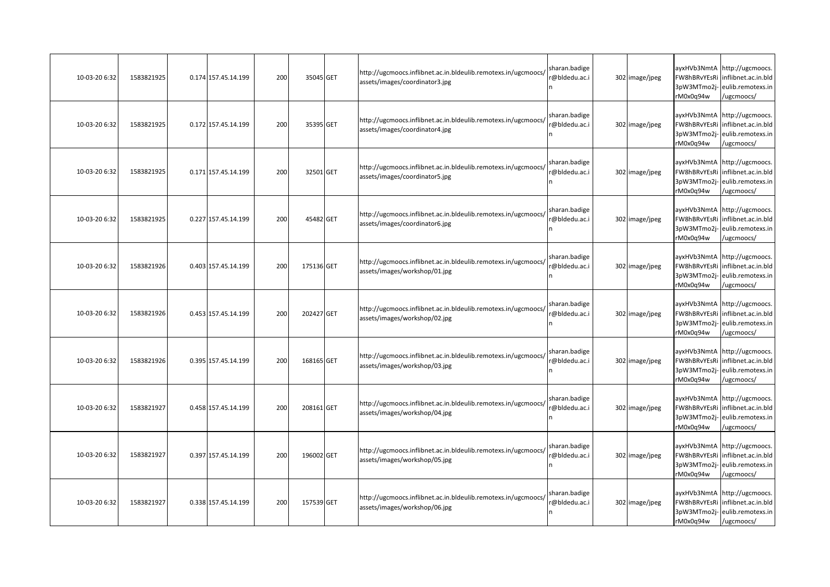| 10-03-20 6:32 | 1583821925 | 0.174 157.45.14.199 | 200 | 35045 GET  | http://ugcmoocs.inflibnet.ac.in.bldeulib.remotexs.in/ugcmoocs/<br>assets/images/coordinator3.jpg | sharan.badige<br>@bldedu.ac.i | 302 image/jpeg | ayxHVb3NmtA<br>FW8hBRvYEsRi<br>3pW3MTmo2i-<br>rM0x0q94w | http://ugcmoocs.<br>nflibnet.ac.in.bld<br>eulib.remotexs.in<br>/ugcmoocs/              |
|---------------|------------|---------------------|-----|------------|--------------------------------------------------------------------------------------------------|-------------------------------|----------------|---------------------------------------------------------|----------------------------------------------------------------------------------------|
| 10-03-20 6:32 | 1583821925 | 0.172 157.45.14.199 | 200 | 35395 GET  | http://ugcmoocs.inflibnet.ac.in.bldeulib.remotexs.in/ugcmoocs/<br>assets/images/coordinator4.jpg | sharan.badige<br>@bldedu.ac.i | 302 image/jpeg | ayxHVb3NmtA<br>FW8hBRvYEsRi<br>3pW3MTmo2j-<br>rM0x0q94w | http://ugcmoocs.<br>inflibnet.ac.in.bld<br>eulib.remotexs.in<br>/ugcmoocs/             |
| 10-03-20 6:32 | 1583821925 | 0.171 157.45.14.199 | 200 | 32501 GET  | http://ugcmoocs.inflibnet.ac.in.bldeulib.remotexs.in/ugcmoocs/<br>assets/images/coordinator5.jpg | sharan.badige<br>@bldedu.ac.i | 302 image/jpeg | ayxHVb3NmtA<br>FW8hBRvYEsRi<br>3pW3MTmo2j-<br>rM0x0q94w | http://ugcmoocs.<br>inflibnet.ac.in.bld<br>eulib.remotexs.in<br>/ugcmoocs/             |
| 10-03-20 6:32 | 1583821925 | 0.227 157.45.14.199 | 200 | 45482 GET  | http://ugcmoocs.inflibnet.ac.in.bldeulib.remotexs.in/ugcmoocs/<br>assets/images/coordinator6.jpg | sharan.badige<br>@bldedu.ac.i | 302 image/jpeg | FW8hBRvYEsRi<br>3pW3MTmo2j-<br>rM0x0q94w                | ayxHVb3NmtA http://ugcmoocs.<br>inflibnet.ac.in.bld<br>eulib.remotexs.in<br>/ugcmoocs/ |
| 10-03-20 6:32 | 1583821926 | 0.403 157.45.14.199 | 200 | 175136 GET | http://ugcmoocs.inflibnet.ac.in.bldeulib.remotexs.in/ugcmoocs/<br>assets/images/workshop/01.jpg  | sharan.badige<br>@bldedu.ac.i | 302 image/jpeg | FW8hBRvYEsRi<br>3pW3MTmo2j-<br>rM0x0q94w                | ayxHVb3NmtA http://ugcmoocs.<br>inflibnet.ac.in.bld<br>eulib.remotexs.in<br>ugcmoocs/  |
| 10-03-20 6:32 | 1583821926 | 0.453 157.45.14.199 | 200 | 202427 GET | http://ugcmoocs.inflibnet.ac.in.bldeulib.remotexs.in/ugcmoocs/<br>assets/images/workshop/02.jpg  | sharan.badige<br>@bldedu.ac.i | 302 image/jpeg | FW8hBRvYEsRi<br>3pW3MTmo2j-<br>rM0x0q94w                | ayxHVb3NmtA http://ugcmoocs.<br>inflibnet.ac.in.bld<br>eulib.remotexs.in<br>/ugcmoocs/ |
| 10-03-20 6:32 | 1583821926 | 0.395 157.45.14.199 | 200 | 168165 GET | http://ugcmoocs.inflibnet.ac.in.bldeulib.remotexs.in/ugcmoocs/<br>assets/images/workshop/03.jpg  | sharan.badige<br>@bldedu.ac.i | 302 image/jpeg | FW8hBRvYEsRi<br>3pW3MTmo2j-<br>rM0x0q94w                | ayxHVb3NmtA http://ugcmoocs.<br>inflibnet.ac.in.bld<br>eulib.remotexs.in<br>/ugcmoocs/ |
| 10-03-20 6:32 | 1583821927 | 0.458 157.45.14.199 | 200 | 208161 GET | http://ugcmoocs.inflibnet.ac.in.bldeulib.remotexs.in/ugcmoocs/<br>assets/images/workshop/04.jpg  | sharan.badige<br>@bldedu.ac.i | 302 image/jpeg | ayxHVb3NmtA<br>FW8hBRvYEsRi<br>3pW3MTmo2j-<br>rM0x0q94w | http://ugcmoocs.<br>inflibnet.ac.in.bld<br>eulib.remotexs.in<br>/ugcmoocs/             |
| 10-03-20 6:32 | 1583821927 | 0.397 157.45.14.199 | 200 | 196002 GET | http://ugcmoocs.inflibnet.ac.in.bldeulib.remotexs.in/ugcmoocs/<br>assets/images/workshop/05.jpg  | sharan.badige<br>@bldedu.ac.i | 302 image/jpeg | FW8hBRvYEsRi<br>3pW3MTmo2j-<br>rM0x0q94w                | ayxHVb3NmtA http://ugcmoocs.<br>inflibnet.ac.in.bld<br>eulib.remotexs.in<br>/ugcmoocs/ |
| 10-03-20 6:32 | 1583821927 | 0.338 157.45.14.199 | 200 | 157539 GET | http://ugcmoocs.inflibnet.ac.in.bldeulib.remotexs.in/ugcmoocs/<br>assets/images/workshop/06.jpg  | sharan.badige<br>@bldedu.ac.i | 302 image/jpeg | ayxHVb3NmtA<br>FW8hBRvYEsRi<br>3pW3MTmo2j-<br>rM0x0q94w | http://ugcmoocs.<br>inflibnet.ac.in.bld<br>eulib.remotexs.in<br>/ugcmoocs/             |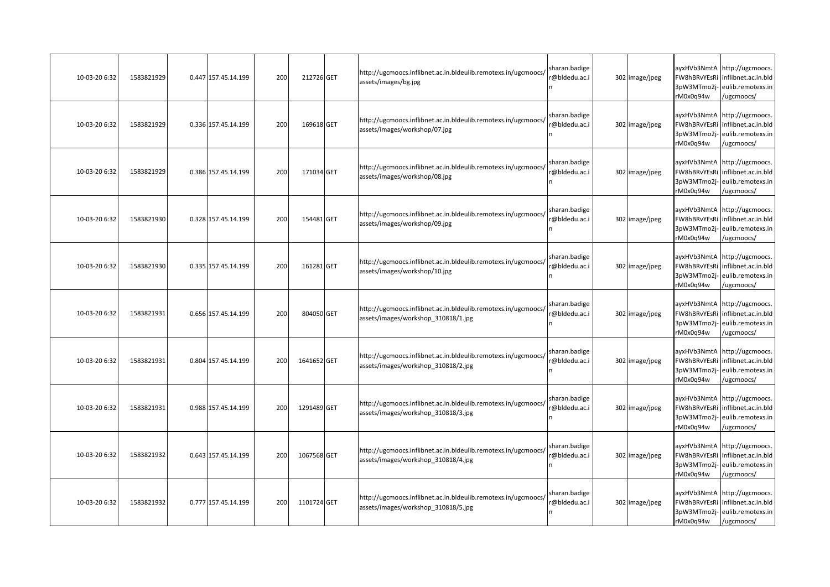| 10-03-20 6:32 | 1583821929 | 0.447 157.45.14.199 | 200 | 212726 GET  | http://ugcmoocs.inflibnet.ac.in.bldeulib.remotexs.in/ugcmoocs/<br>assets/images/bg.jpg                | sharan.badige<br>@bldedu.ac.i | 302 image/jpeg | ayxHVb3NmtA<br>FW8hBRvYEsRi<br>3pW3MTmo2i-<br>rM0x0q94w | http://ugcmoocs.<br>nflibnet.ac.in.bld<br>eulib.remotexs.in<br>/ugcmoocs/              |
|---------------|------------|---------------------|-----|-------------|-------------------------------------------------------------------------------------------------------|-------------------------------|----------------|---------------------------------------------------------|----------------------------------------------------------------------------------------|
| 10-03-20 6:32 | 1583821929 | 0.336 157.45.14.199 | 200 | 169618 GET  | http://ugcmoocs.inflibnet.ac.in.bldeulib.remotexs.in/ugcmoocs/<br>assets/images/workshop/07.jpg       | sharan.badige<br>@bldedu.ac.i | 302 image/jpeg | ayxHVb3NmtA<br>FW8hBRvYEsRi<br>3pW3MTmo2j-<br>rM0x0q94w | http://ugcmoocs.<br>inflibnet.ac.in.bld<br>eulib.remotexs.in<br>/ugcmoocs/             |
| 10-03-20 6:32 | 1583821929 | 0.386 157.45.14.199 | 200 | 171034 GET  | http://ugcmoocs.inflibnet.ac.in.bldeulib.remotexs.in/ugcmoocs/<br>assets/images/workshop/08.jpg       | sharan.badige<br>@bldedu.ac.i | 302 image/jpeg | ayxHVb3NmtA<br>FW8hBRvYEsRi<br>3pW3MTmo2j-<br>rM0x0q94w | http://ugcmoocs.<br>inflibnet.ac.in.bld<br>eulib.remotexs.in<br>/ugcmoocs/             |
| 10-03-20 6:32 | 1583821930 | 0.328 157.45.14.199 | 200 | 154481 GET  | http://ugcmoocs.inflibnet.ac.in.bldeulib.remotexs.in/ugcmoocs/<br>assets/images/workshop/09.jpg       | sharan.badige<br>@bldedu.ac.i | 302 image/jpeg | FW8hBRvYEsRi<br>3pW3MTmo2j-<br>rM0x0q94w                | ayxHVb3NmtA http://ugcmoocs.<br>inflibnet.ac.in.bld<br>eulib.remotexs.in<br>/ugcmoocs/ |
| 10-03-20 6:32 | 1583821930 | 0.335 157.45.14.199 | 200 | 161281 GET  | http://ugcmoocs.inflibnet.ac.in.bldeulib.remotexs.in/ugcmoocs/<br>assets/images/workshop/10.jpg       | sharan.badige<br>@bldedu.ac.i | 302 image/jpeg | FW8hBRvYEsRi<br>3pW3MTmo2j-<br>rM0x0q94w                | ayxHVb3NmtA http://ugcmoocs.<br>inflibnet.ac.in.bld<br>eulib.remotexs.in<br>ugcmoocs/  |
| 10-03-20 6:32 | 1583821931 | 0.656 157.45.14.199 | 200 | 804050 GET  | http://ugcmoocs.inflibnet.ac.in.bldeulib.remotexs.in/ugcmoocs/<br>assets/images/workshop 310818/1.jpg | sharan.badige<br>@bldedu.ac.i | 302 image/jpeg | FW8hBRvYEsRi<br>3pW3MTmo2j-<br>rM0x0q94w                | ayxHVb3NmtA http://ugcmoocs.<br>inflibnet.ac.in.bld<br>eulib.remotexs.in<br>/ugcmoocs/ |
| 10-03-20 6:32 | 1583821931 | 0.804 157.45.14.199 | 200 | 1641652 GET | http://ugcmoocs.inflibnet.ac.in.bldeulib.remotexs.in/ugcmoocs/<br>assets/images/workshop_310818/2.jpg | sharan.badige<br>@bldedu.ac.i | 302 image/jpeg | FW8hBRvYEsRi<br>3pW3MTmo2j-<br>rM0x0q94w                | ayxHVb3NmtA http://ugcmoocs.<br>inflibnet.ac.in.bld<br>eulib.remotexs.in<br>/ugcmoocs/ |
| 10-03-20 6:32 | 1583821931 | 0.988 157.45.14.199 | 200 | 1291489 GET | http://ugcmoocs.inflibnet.ac.in.bldeulib.remotexs.in/ugcmoocs/<br>assets/images/workshop 310818/3.jpg | sharan.badige<br>@bldedu.ac.i | 302 image/jpeg | ayxHVb3NmtA<br>FW8hBRvYEsRi<br>3pW3MTmo2j-<br>rM0x0q94w | http://ugcmoocs.<br>inflibnet.ac.in.bld<br>eulib.remotexs.in<br>/ugcmoocs/             |
| 10-03-20 6:32 | 1583821932 | 0.643 157.45.14.199 | 200 | 1067568 GET | http://ugcmoocs.inflibnet.ac.in.bldeulib.remotexs.in/ugcmoocs/<br>assets/images/workshop 310818/4.jpg | sharan.badige<br>@bldedu.ac.i | 302 image/jpeg | FW8hBRvYEsRi<br>3pW3MTmo2j-<br>rM0x0q94w                | ayxHVb3NmtA http://ugcmoocs.<br>inflibnet.ac.in.bld<br>eulib.remotexs.in<br>/ugcmoocs/ |
| 10-03-20 6:32 | 1583821932 | 0.777 157.45.14.199 | 200 | 1101724 GET | http://ugcmoocs.inflibnet.ac.in.bldeulib.remotexs.in/ugcmoocs/<br>assets/images/workshop 310818/5.jpg | sharan.badige<br>@bldedu.ac.i | 302 image/jpeg | ayxHVb3NmtA<br>FW8hBRvYEsRi<br>3pW3MTmo2j-<br>rM0x0q94w | http://ugcmoocs.<br>inflibnet.ac.in.bld<br>eulib.remotexs.in<br>/ugcmoocs/             |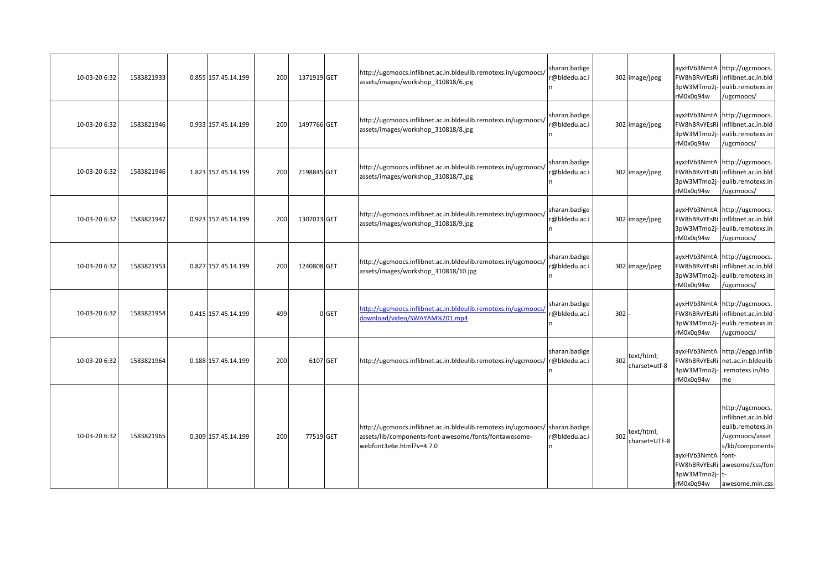| 10-03-20 6:32 | 1583821933 | 0.855 157.45.14.199 | 200 | 1371919 GET |       | http://ugcmoocs.inflibnet.ac.in.bldeulib.remotexs.in/ugcmoocs/<br>assets/images/workshop 310818/6.jpg                                                             | sharan.badige<br>r@bldedu.ac.i |         | 302 image/jpeg                  | FW8hBRvYEsRi<br>rM0x0q94w                       | ayxHVb3NmtA http://ugcmoocs.<br>inflibnet.ac.in.bld<br>3pW3MTmo2j-eulib.remotexs.in<br>/ugcmoocs/                                                       |
|---------------|------------|---------------------|-----|-------------|-------|-------------------------------------------------------------------------------------------------------------------------------------------------------------------|--------------------------------|---------|---------------------------------|-------------------------------------------------|---------------------------------------------------------------------------------------------------------------------------------------------------------|
| 10-03-20 6:32 | 1583821946 | 0.933 157.45.14.199 | 200 | 1497766 GET |       | http://ugcmoocs.inflibnet.ac.in.bldeulib.remotexs.in/ugcmoocs/<br>assets/images/workshop 310818/8.jpg                                                             | sharan.badige<br>r@bldedu.ac.i |         | 302 image/jpeg                  | FW8hBRvYEsRi<br>3pW3MTmo2j-<br>rM0x0q94w        | ayxHVb3NmtA http://ugcmoocs.<br>inflibnet.ac.in.bld<br>eulib.remotexs.in<br>/ugcmoocs/                                                                  |
| 10-03-20 6:32 | 1583821946 | 1.823 157.45.14.199 | 200 | 2198845 GET |       | http://ugcmoocs.inflibnet.ac.in.bldeulib.remotexs.in/ugcmoocs/<br>assets/images/workshop 310818/7.jpg                                                             | sharan.badige<br>@bldedu.ac.i  |         | 302 image/jpeg                  | FW8hBRvYEsRi<br>3pW3MTmo2j-<br>rM0x0q94w        | ayxHVb3NmtA http://ugcmoocs.<br>inflibnet.ac.in.bld<br>eulib.remotexs.in<br>/ugcmoocs/                                                                  |
| 10-03-20 6:32 | 1583821947 | 0.923 157.45.14.199 | 200 | 1307013 GET |       | http://ugcmoocs.inflibnet.ac.in.bldeulib.remotexs.in/ugcmoocs/<br>assets/images/workshop 310818/9.jpg                                                             | sharan.badige<br>@bldedu.ac.i  |         | 302 image/jpeg                  | FW8hBRvYEsRi<br>3pW3MTmo2j-<br>rM0x0q94w        | ayxHVb3NmtA http://ugcmoocs.<br>inflibnet.ac.in.bld<br>eulib.remotexs.in<br>/ugcmoocs/                                                                  |
| 10-03-20 6:32 | 1583821953 | 0.827 157.45.14.199 | 200 | 1240808 GET |       | http://ugcmoocs.inflibnet.ac.in.bldeulib.remotexs.in/ugcmoocs/<br>assets/images/workshop 310818/10.jpg                                                            | sharan.badige<br>@bldedu.ac.i  |         | 302 image/jpeg                  | 3pW3MTmo2j-<br>rM0x0q94w                        | ayxHVb3NmtA http://ugcmoocs.<br>FW8hBRvYEsRi inflibnet.ac.in.bld<br>eulib.remotexs.in<br>/ugcmoocs/                                                     |
| 10-03-20 6:32 | 1583821954 | 0.415 157.45.14.199 | 499 |             | 0 GET | http://ugcmoocs.inflibnet.ac.in.bldeulib.remotexs.in/ugcmoocs/<br>download/video/SWAYAM%201.mp4                                                                   | sharan.badige<br>@bldedu.ac.i  | $302 -$ |                                 | FW8hBRvYEsRi<br>3pW3MTmo2j-<br>rM0x0q94w        | ayxHVb3NmtA http://ugcmoocs.<br>inflibnet.ac.in.bld<br>eulib.remotexs.in<br>/ugcmoocs/                                                                  |
| 10-03-20 6:32 | 1583821964 | 0.188 157.45.14.199 | 200 | 6107 GET    |       | http://ugcmoocs.inflibnet.ac.in.bldeulib.remotexs.in/ugcmoocs/ r@bldedu.ac.i                                                                                      | sharan.badige                  |         | 302 text/html;<br>charset=utf-8 | FW8hBRvYEsRi<br>3pW3MTmo2j-<br>rM0x0q94w        | ayxHVb3NmtA http://epgp.inflib<br>net.ac.in.bldeulib<br>remotexs.in/Ho<br>me                                                                            |
| 10-03-20 6:32 | 1583821965 | 0.309 157.45.14.199 | 200 | 77519 GET   |       | http://ugcmoocs.inflibnet.ac.in.bldeulib.remotexs.in/ugcmoocs/ sharan.badige<br>assets/lib/components-font-awesome/fonts/fontawesome-<br>webfont3e6e.html?v=4.7.0 | @bldedu.ac.i                   |         | 302 text/html;<br>charset=UTF-8 | ayxHVb3NmtA font-<br>3pW3MTmo2j-t-<br>rM0x0q94w | http://ugcmoocs.<br>inflibnet.ac.in.bld<br>eulib.remotexs.in<br>/ugcmoocs/asset<br>s/lib/components-<br>FW8hBRvYEsRi awesome/css/fon<br>awesome.min.css |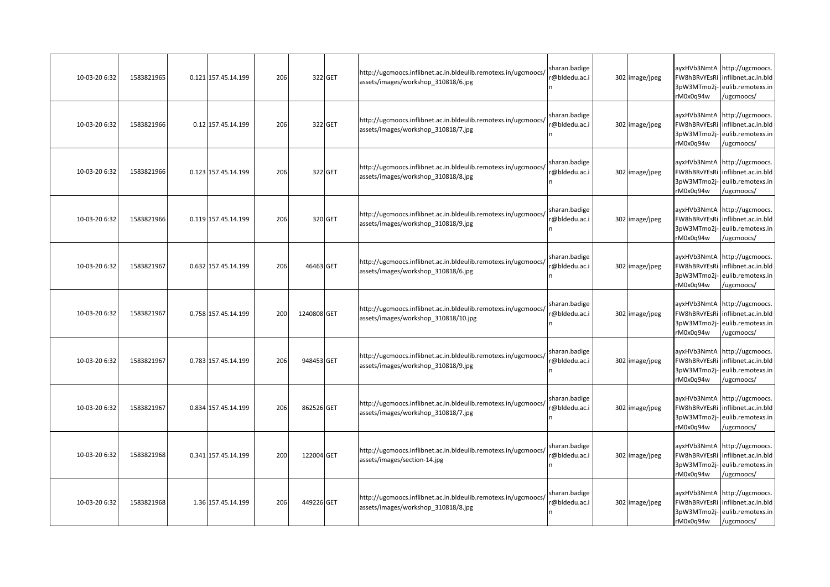| 10-03-20 6:32 | 1583821965 | 0.121 157.45.14.199 | 206 |             | 322 GET | http://ugcmoocs.inflibnet.ac.in.bldeulib.remotexs.in/ugcmoocs/<br>assets/images/workshop_310818/6.jpg  | sharan.badige<br>@bldedu.ac.i | 302 image/jpeg | ayxHVb3NmtA<br>FW8hBRvYEsRi<br>3pW3MTmo2i-<br>rM0x0q94w | http://ugcmoocs.<br>nflibnet.ac.in.bld<br>eulib.remotexs.in<br>/ugcmoocs/              |
|---------------|------------|---------------------|-----|-------------|---------|--------------------------------------------------------------------------------------------------------|-------------------------------|----------------|---------------------------------------------------------|----------------------------------------------------------------------------------------|
| 10-03-20 6:32 | 1583821966 | 0.12 157.45.14.199  | 206 |             | 322 GET | http://ugcmoocs.inflibnet.ac.in.bldeulib.remotexs.in/ugcmoocs/<br>assets/images/workshop 310818/7.jpg  | sharan.badige<br>@bldedu.ac.i | 302 image/jpeg | ayxHVb3NmtA<br>FW8hBRvYEsRi<br>3pW3MTmo2j-<br>rM0x0q94w | http://ugcmoocs.<br>inflibnet.ac.in.bld<br>eulib.remotexs.in<br>/ugcmoocs/             |
| 10-03-20 6:32 | 1583821966 | 0.123 157.45.14.199 | 206 |             | 322 GET | http://ugcmoocs.inflibnet.ac.in.bldeulib.remotexs.in/ugcmoocs/<br>assets/images/workshop_310818/8.jpg  | sharan.badige<br>@bldedu.ac.i | 302 image/jpeg | ayxHVb3NmtA<br>FW8hBRvYEsRi<br>3pW3MTmo2j-<br>rM0x0q94w | http://ugcmoocs.<br>inflibnet.ac.in.bld<br>eulib.remotexs.in<br>/ugcmoocs/             |
| 10-03-20 6:32 | 1583821966 | 0.119 157.45.14.199 | 206 |             | 320 GET | http://ugcmoocs.inflibnet.ac.in.bldeulib.remotexs.in/ugcmoocs/<br>assets/images/workshop 310818/9.jpg  | sharan.badige<br>@bldedu.ac.i | 302 image/jpeg | FW8hBRvYEsRi<br>3pW3MTmo2j-<br>rM0x0q94w                | ayxHVb3NmtA http://ugcmoocs.<br>inflibnet.ac.in.bld<br>eulib.remotexs.in<br>/ugcmoocs/ |
| 10-03-20 6:32 | 1583821967 | 0.632 157.45.14.199 | 206 | 46463 GET   |         | http://ugcmoocs.inflibnet.ac.in.bldeulib.remotexs.in/ugcmoocs/<br>assets/images/workshop_310818/6.jpg  | sharan.badige<br>@bldedu.ac.i | 302 image/jpeg | FW8hBRvYEsRi<br>3pW3MTmo2j-<br>rM0x0q94w                | ayxHVb3NmtA http://ugcmoocs.<br>inflibnet.ac.in.bld<br>eulib.remotexs.in<br>ugcmoocs/  |
| 10-03-20 6:32 | 1583821967 | 0.758 157.45.14.199 | 200 | 1240808 GET |         | http://ugcmoocs.inflibnet.ac.in.bldeulib.remotexs.in/ugcmoocs/<br>assets/images/workshop 310818/10.jpg | sharan.badige<br>@bldedu.ac.i | 302 image/jpeg | FW8hBRvYEsRi<br>3pW3MTmo2j-<br>rM0x0q94w                | ayxHVb3NmtA http://ugcmoocs.<br>inflibnet.ac.in.bld<br>eulib.remotexs.in<br>/ugcmoocs/ |
| 10-03-20 6:32 | 1583821967 | 0.783 157.45.14.199 | 206 | 948453 GET  |         | http://ugcmoocs.inflibnet.ac.in.bldeulib.remotexs.in/ugcmoocs/<br>assets/images/workshop_310818/9.jpg  | sharan.badige<br>@bldedu.ac.i | 302 image/jpeg | FW8hBRvYEsRi<br>3pW3MTmo2j-<br>rM0x0q94w                | ayxHVb3NmtA http://ugcmoocs.<br>inflibnet.ac.in.bld<br>eulib.remotexs.in<br>/ugcmoocs/ |
| 10-03-20 6:32 | 1583821967 | 0.834 157.45.14.199 | 206 | 862526 GET  |         | http://ugcmoocs.inflibnet.ac.in.bldeulib.remotexs.in/ugcmoocs/<br>assets/images/workshop 310818/7.jpg  | sharan.badige<br>@bldedu.ac.i | 302 image/jpeg | ayxHVb3NmtA<br>FW8hBRvYEsRi<br>3pW3MTmo2j-<br>rM0x0q94w | http://ugcmoocs.<br>nflibnet.ac.in.bld<br>eulib.remotexs.in<br>/ugcmoocs/              |
| 10-03-20 6:32 | 1583821968 | 0.341 157.45.14.199 | 200 | 122004 GET  |         | http://ugcmoocs.inflibnet.ac.in.bldeulib.remotexs.in/ugcmoocs/<br>assets/images/section-14.jpg         | sharan.badige<br>@bldedu.ac.i | 302 image/jpeg | FW8hBRvYEsRi<br>3pW3MTmo2j-<br>rM0x0q94w                | ayxHVb3NmtA http://ugcmoocs.<br>inflibnet.ac.in.bld<br>eulib.remotexs.in<br>/ugcmoocs/ |
| 10-03-20 6:32 | 1583821968 | 1.36 157.45.14.199  | 206 | 449226 GET  |         | http://ugcmoocs.inflibnet.ac.in.bldeulib.remotexs.in/ugcmoocs/<br>assets/images/workshop 310818/8.jpg  | sharan.badige<br>@bldedu.ac.i | 302 image/jpeg | ayxHVb3NmtA<br>FW8hBRvYEsRi<br>3pW3MTmo2j-<br>rM0x0q94w | http://ugcmoocs.<br>inflibnet.ac.in.bld<br>eulib.remotexs.in<br>/ugcmoocs/             |